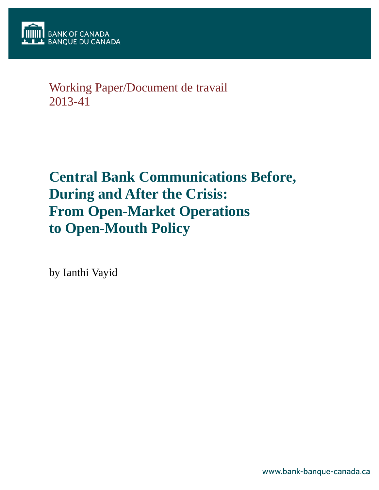

## Working Paper/Document de travail 2013-41

# **Central Bank Communications Before, During and After the Crisis: From Open-Market Operations to Open-Mouth Policy**

by Ianthi Vayid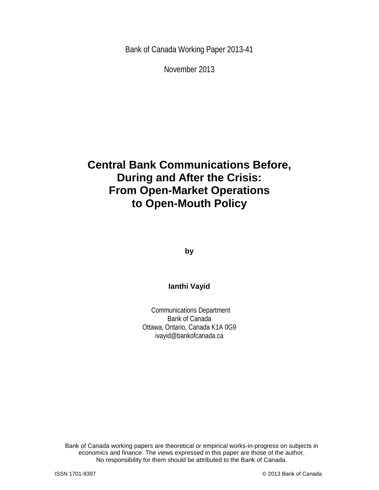Bank of Canada Working Paper 2013-41

November 2013

## **Central Bank Communications Before, During and After the Crisis: From Open-Market Operations to Open-Mouth Policy**

**by**

## **Ianthi Vayid**

Communications Department Bank of Canada Ottawa, Ontario, Canada K1A 0G9 ivayid@bankofcanada.ca

2 No responsibility for them should be attributed to the Bank of Canada. Bank of Canada working papers are theoretical or empirical works-in-progress on subjects in economics and finance. The views expressed in this paper are those of the author.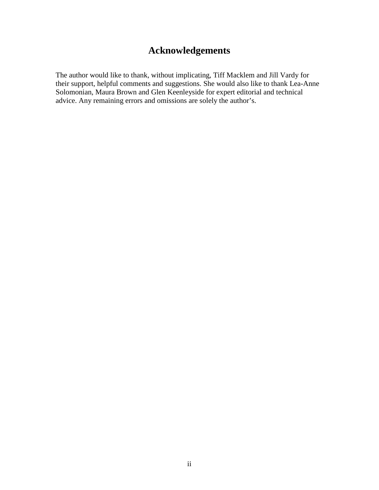## **Acknowledgements**

The author would like to thank, without implicating, Tiff Macklem and Jill Vardy for their support, helpful comments and suggestions. She would also like to thank Lea-Anne Solomonian, Maura Brown and Glen Keenleyside for expert editorial and technical advice. Any remaining errors and omissions are solely the author's.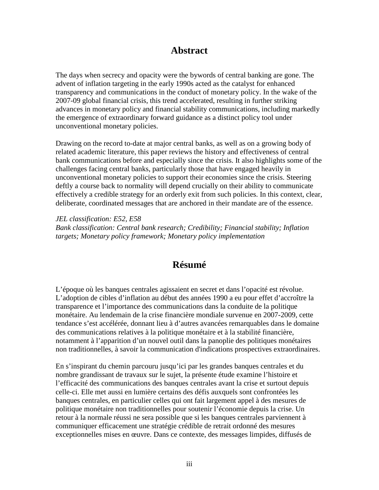## **Abstract**

The days when secrecy and opacity were the bywords of central banking are gone. The advent of inflation targeting in the early 1990s acted as the catalyst for enhanced transparency and communications in the conduct of monetary policy. In the wake of the 2007-09 global financial crisis, this trend accelerated, resulting in further striking advances in monetary policy and financial stability communications, including markedly the emergence of extraordinary forward guidance as a distinct policy tool under unconventional monetary policies.

Drawing on the record to-date at major central banks, as well as on a growing body of related academic literature, this paper reviews the history and effectiveness of central bank communications before and especially since the crisis. It also highlights some of the challenges facing central banks, particularly those that have engaged heavily in unconventional monetary policies to support their economies since the crisis. Steering deftly a course back to normality will depend crucially on their ability to communicate effectively a credible strategy for an orderly exit from such policies. In this context, clear, deliberate, coordinated messages that are anchored in their mandate are of the essence.

*JEL classification: E52, E58 Bank classification: Central bank research; Credibility; Financial stability; Inflation targets; Monetary policy framework; Monetary policy implementation*

## **Résumé**

L'époque où les banques centrales agissaient en secret et dans l'opacité est révolue. L'adoption de cibles d'inflation au début des années 1990 a eu pour effet d'accroître la transparence et l'importance des communications dans la conduite de la politique monétaire. Au lendemain de la crise financière mondiale survenue en 2007-2009, cette tendance s'est accélérée, donnant lieu à d'autres avancées remarquables dans le domaine des communications relatives à la politique monétaire et à la stabilité financière, notamment à l'apparition d'un nouvel outil dans la panoplie des politiques monétaires non traditionnelles, à savoir la communication d'indications prospectives extraordinaires.

En s'inspirant du chemin parcouru jusqu'ici par les grandes banques centrales et du nombre grandissant de travaux sur le sujet, la présente étude examine l'histoire et l'efficacité des communications des banques centrales avant la crise et surtout depuis celle-ci. Elle met aussi en lumière certains des défis auxquels sont confrontées les banques centrales, en particulier celles qui ont fait largement appel à des mesures de politique monétaire non traditionnelles pour soutenir l'économie depuis la crise. Un retour à la normale réussi ne sera possible que si les banques centrales parviennent à communiquer efficacement une stratégie crédible de retrait ordonné des mesures exceptionnelles mises en œuvre. Dans ce contexte, des messages limpides, diffusés de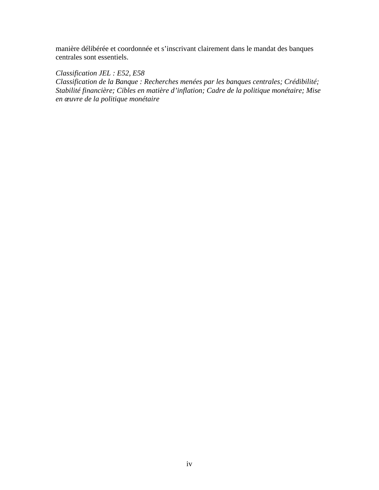manière délibérée et coordonnée et s'inscrivant clairement dans le mandat des banques centrales sont essentiels.

*Classification JEL : E52, E58*

*Classification de la Banque : Recherches menées par les banques centrales; Crédibilité; Stabilité financière; Cibles en matière d'inflation; Cadre de la politique monétaire; Mise en œuvre de la politique monétaire*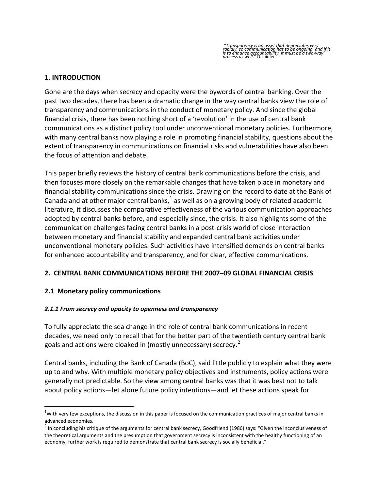### **1. INTRODUCTION**

Gone are the days when secrecy and opacity were the bywords of central banking. Over the past two decades, there has been a dramatic change in the way central banks view the role of transparency and communications in the conduct of monetary policy. And since the global financial crisis, there has been nothing short of a 'revolution' in the use of central bank communications as a distinct policy tool under unconventional monetary policies. Furthermore, with many central banks now playing a role in promoting financial stability, questions about the extent of transparency in communications on financial risks and vulnerabilities have also been the focus of attention and debate.

This paper briefly reviews the history of central bank communications before the crisis, and then focuses more closely on the remarkable changes that have taken place in monetary and financial stability communications since the crisis. Drawing on the record to date at the Bank of Canada and at other major central banks, $<sup>1</sup>$  $<sup>1</sup>$  $<sup>1</sup>$  as well as on a growing body of related academic</sup> literature, it discusses the comparative effectiveness of the various communication approaches adopted by central banks before, and especially since, the crisis. It also highlights some of the communication challenges facing central banks in a post-crisis world of close interaction between monetary and financial stability and expanded central bank activities under unconventional monetary policies. Such activities have intensified demands on central banks for enhanced accountability and transparency, and for clear, effective communications.

## **2. CENTRAL BANK COMMUNICATIONS BEFORE THE 2007–09 GLOBAL FINANCIAL CRISIS**

## **2.1 Monetary policy communications**

## *2.1.1 From secrecy and opacity to openness and transparency*

To fully appreciate the sea change in the role of central bank communications in recent decades, we need only to recall that for the better part of the twentieth century central bank goals and actions were cloaked in (mostly unnecessary) secrecy.<sup>[2](#page-5-1)</sup>

Central banks, including the Bank of Canada (BoC), said little publicly to explain what they were up to and why. With multiple monetary policy objectives and instruments, policy actions were generally not predictable. So the view among central banks was that it was best not to talk about policy actions—let alone future policy intentions—and let these actions speak for

<span id="page-5-0"></span> $\frac{1}{1}$  $1$ With very few exceptions, the discussion in this paper is focused on the communication practices of major central banks in advanced economies.

<span id="page-5-1"></span> $^2$  In concluding his critique of the arguments for central bank secrecy, Goodfriend (1986) says: "Given the inconclusiveness of the theoretical arguments and the presumption that government secrecy is inconsistent with the healthy functioning of an economy, further work is required to demonstrate that central bank secrecy is socially beneficial."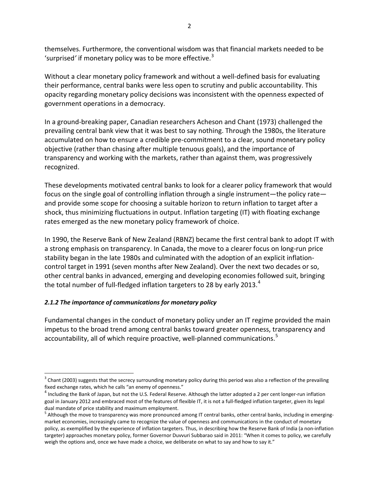themselves. Furthermore, the conventional wisdom was that financial markets needed to be 'surprised*'* if monetary policy was to be more effective.[3](#page-6-0)

Without a clear monetary policy framework and without a well-defined basis for evaluating their performance, central banks were less open to scrutiny and public accountability. This opacity regarding monetary policy decisions was inconsistent with the openness expected of government operations in a democracy.

In a ground-breaking paper, Canadian researchers Acheson and Chant (1973) challenged the prevailing central bank view that it was best to say nothing. Through the 1980s, the literature accumulated on how to ensure a credible pre-commitment to a clear, sound monetary policy objective (rather than chasing after multiple tenuous goals), and the importance of transparency and working with the markets, rather than against them, was progressively recognized.

These developments motivated central banks to look for a clearer policy framework that would focus on the single goal of controlling inflation through a single instrument—the policy rate and provide some scope for choosing a suitable horizon to return inflation to target after a shock, thus minimizing fluctuations in output. Inflation targeting (IT) with floating exchange rates emerged as the new monetary policy framework of choice.

In 1990, the Reserve Bank of New Zealand (RBNZ) became the first central bank to adopt IT with a strong emphasis on transparency. In Canada, the move to a clearer focus on long-run price stability began in the late 1980s and culminated with the adoption of an explicit inflationcontrol target in 1991 (seven months after New Zealand). Over the next two decades or so, other central banks in advanced, emerging and developing economies followed suit, bringing the total number of full-fledged inflation targeters to 28 by early 2013.<sup>[4](#page-6-1)</sup>

## *2.1.2 The importance of communications for monetary policy*

Fundamental changes in the conduct of monetary policy under an IT regime provided the main impetus to the broad trend among central banks toward greater openness, transparency and accountability, all of which require proactive, well-planned communications.<sup>[5](#page-6-2)</sup>

<span id="page-6-0"></span> $3$  Chant (2003) suggests that the secrecy surrounding monetary policy during this period was also a reflection of the prevailing fixed exchange rates, which he calls "an enemy of openness."<br> $4$  Including the Bank of Japan, but not the U.S. Federal Reserve. Although the latter adopted a 2 per cent longer-run inflation

<span id="page-6-1"></span>goal in January 2012 and embraced most of the features of flexible IT, it is not a full-fledged inflation targeter, given its legal dual mandate of price stability and maximum employment.

<span id="page-6-2"></span><sup>&</sup>lt;sup>5</sup> Although the move to transparency was more pronounced among IT central banks, other central banks, including in emergingmarket economies, increasingly came to recognize the value of openness and communications in the conduct of monetary policy, as exemplified by the experience of inflation targeters. Thus, in describing how the Reserve Bank of India (a non-inflation targeter) approaches monetary policy, former Governor Duvvuri Subbarao said in 2011: "When it comes to policy, we carefully weigh the options and, once we have made a choice, we deliberate on what to say and how to say it."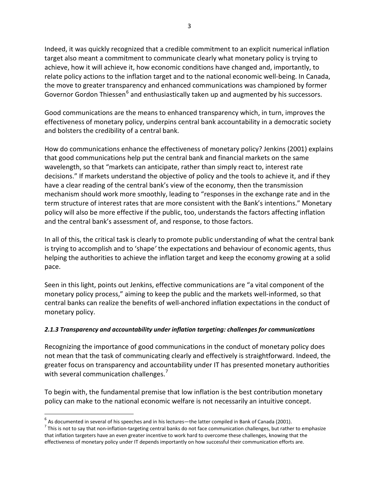Indeed, it was quickly recognized that a credible commitment to an explicit numerical inflation target also meant a commitment to communicate clearly what monetary policy is trying to achieve, how it will achieve it, how economic conditions have changed and, importantly, to relate policy actions to the inflation target and to the national economic well-being. In Canada, the move to greater transparency and enhanced communications was championed by former Governor Gordon Thiessen<sup>[6](#page-7-0)</sup> and enthusiastically taken up and augmented by his successors.

Good communications are the means to enhanced transparency which, in turn, improves the effectiveness of monetary policy, underpins central bank accountability in a democratic society and bolsters the credibility of a central bank.

How do communications enhance the effectiveness of monetary policy? Jenkins (2001) explains that good communications help put the central bank and financial markets on the same wavelength, so that "markets can anticipate, rather than simply react to, interest rate decisions." If markets understand the objective of policy and the tools to achieve it, and if they have a clear reading of the central bank's view of the economy, then the transmission mechanism should work more smoothly, leading to "responses in the exchange rate and in the term structure of interest rates that are more consistent with the Bank's intentions." Monetary policy will also be more effective if the public, too, understands the factors affecting inflation and the central bank's assessment of, and response, to those factors.

In all of this, the critical task is clearly to promote public understanding of what the central bank is trying to accomplish and to 'shape*'* the expectations and behaviour of economic agents, thus helping the authorities to achieve the inflation target and keep the economy growing at a solid pace.

Seen in this light, points out Jenkins, effective communications are "a vital component of the monetary policy process," aiming to keep the public and the markets well-informed, so that central banks can realize the benefits of well-anchored inflation expectations in the conduct of monetary policy.

## *2.1.3 Transparency and accountability under inflation targeting: challenges for communications*

Recognizing the importance of good communications in the conduct of monetary policy does not mean that the task of communicating clearly and effectively is straightforward. Indeed, the greater focus on transparency and accountability under IT has presented monetary authorities with several communication challenges.<sup>[7](#page-7-1)</sup>

To begin with, the fundamental premise that low inflation is the best contribution monetary policy can make to the national economic welfare is not necessarily an intuitive concept.

<span id="page-7-1"></span><span id="page-7-0"></span> $^6$  As documented in several of his speeches and in his lectures—the latter compiled in Bank of Canada (2001).<br><sup>7</sup> This is not to say that non-inflation-targeting central banks do not face communication challenges, but r that inflation targeters have an even greater incentive to work hard to overcome these challenges, knowing that the effectiveness of monetary policy under IT depends importantly on how successful their communication efforts are.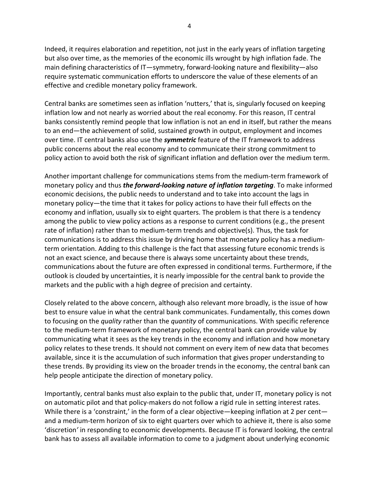Indeed, it requires elaboration and repetition, not just in the early years of inflation targeting but also over time, as the memories of the economic ills wrought by high inflation fade. The main defining characteristics of IT—symmetry, forward-looking nature and flexibility—also require systematic communication efforts to underscore the value of these elements of an effective and credible monetary policy framework.

Central banks are sometimes seen as inflation 'nutters,' that is, singularly focused on keeping inflation low and not nearly as worried about the real economy. For this reason, IT central banks consistently remind people that low inflation is not an end in itself, but rather the means to an end—the achievement of solid, sustained growth in output, employment and incomes over time. IT central banks also use the *symmetric* feature of the IT framework to address public concerns about the real economy and to communicate their strong commitment to policy action to avoid both the risk of significant inflation and deflation over the medium term.

Another important challenge for communications stems from the medium-term framework of monetary policy and thus *the forward-looking nature of inflation targeting*. To make informed economic decisions, the public needs to understand and to take into account the lags in monetary policy—the time that it takes for policy actions to have their full effects on the economy and inflation, usually six to eight quarters. The problem is that there is a tendency among the public to view policy actions as a response to current conditions (e.g., the present rate of inflation) rather than to medium-term trends and objective(s). Thus, the task for communications is to address this issue by driving home that monetary policy has a mediumterm orientation. Adding to this challenge is the fact that assessing future economic trends is not an exact science, and because there is always some uncertainty about these trends, communications about the future are often expressed in conditional terms. Furthermore, if the outlook is clouded by uncertainties, it is nearly impossible for the central bank to provide the markets and the public with a high degree of precision and certainty.

Closely related to the above concern, although also relevant more broadly, is the issue of how best to ensure value in what the central bank communicates. Fundamentally, this comes down to focusing on the *quality* rather than the *quantity* of communications. With specific reference to the medium-term framework of monetary policy, the central bank can provide value by communicating what it sees as the key trends in the economy and inflation and how monetary policy relates to these trends. It should not comment on every item of new data that becomes available, since it is the accumulation of such information that gives proper understanding to these trends. By providing its view on the broader trends in the economy, the central bank can help people anticipate the direction of monetary policy.

Importantly, central banks must also explain to the public that, under IT, monetary policy is not on automatic pilot and that policy-makers do not follow a rigid rule in setting interest rates. While there is a 'constraint,' in the form of a clear objective—keeping inflation at 2 per cent and a medium-term horizon of six to eight quarters over which to achieve it, there is also some 'discretion*'* in responding to economic developments. Because IT is forward looking, the central bank has to assess all available information to come to a judgment about underlying economic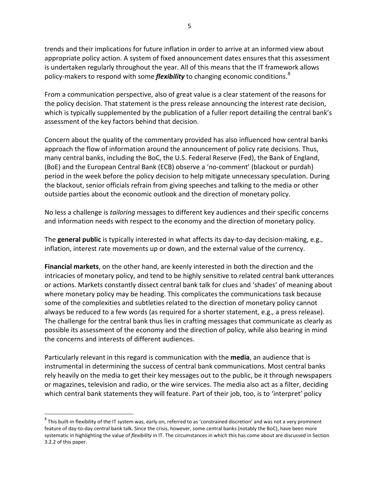trends and their implications for future inflation in order to arrive at an informed view about appropriate policy action. A system of fixed announcement dates ensures that this assessment is undertaken regularly throughout the year. All of this means that the IT framework allows policy-makers to respond with some *flexibility* to changing economic conditions.<sup>[8](#page-9-0)</sup>

From a communication perspective, also of great value is a clear statement of the reasons for the policy decision. That statement is the press release announcing the interest rate decision, which is typically supplemented by the publication of a fuller report detailing the central bank's assessment of the key factors behind that decision.

Concern about the quality of the commentary provided has also influenced how central banks approach the flow of information around the announcement of policy rate decisions. Thus, many central banks, including the BoC, the U.S. Federal Reserve (Fed), the Bank of England, (BoE) and the European Central Bank (ECB) observe a 'no-comment' (blackout or purdah) period in the week before the policy decision to help mitigate unnecessary speculation. During the blackout, senior officials refrain from giving speeches and talking to the media or other outside parties about the economic outlook and the direction of monetary policy.

No less a challenge is *tailoring* messages to different key audiences and their specific concerns and information needs with respect to the economy and the direction of monetary policy.

The **general public** is typically interested in what affects its day-to-day decision-making, e.g., inflation, interest rate movements up or down, and the external value of the currency.

**Financial markets**, on the other hand, are keenly interested in both the direction and the intricacies of monetary policy, and tend to be highly sensitive to related central bank utterances or actions. Markets constantly dissect central bank talk for clues and 'shades' of meaning about where monetary policy may be heading. This complicates the communications task because some of the complexities and subtleties related to the direction of monetary policy cannot always be reduced to a few words (as required for a shorter statement, e.g., a press release). The challenge for the central bank thus lies in crafting messages that communicate as clearly as possible its assessment of the economy and the direction of policy, while also bearing in mind the concerns and interests of different audiences.

Particularly relevant in this regard is communication with the **media**, an audience that is instrumental in determining the success of central bank communications. Most central banks rely heavily on the media to get their key messages out to the public, be it through newspapers or magazines, television and radio, or the wire services. The media also act as a filter, deciding which central bank statements they will feature. Part of their job, too, is to 'interpret' policy

<span id="page-9-0"></span> $8$  This built-in flexibility of the IT system was, early on, referred to as 'constrained discretion' and was not a very prominent feature of day-to-day central bank talk. Since the crisis, however, some central banks (notably the BoC), have been more systematic in highlighting the value of *flexibility* in IT. The circumstances in which this has come about are discussed in Section 3.2.2 of this paper.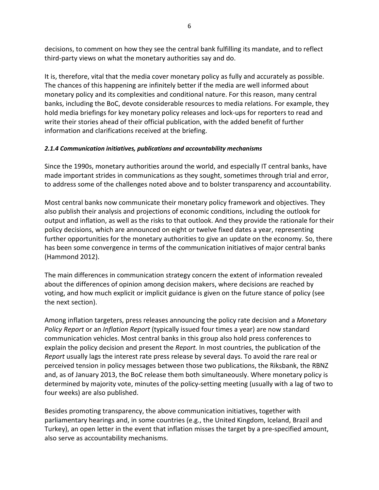decisions, to comment on how they see the central bank fulfilling its mandate, and to reflect third-party views on what the monetary authorities say and do.

It is, therefore, vital that the media cover monetary policy as fully and accurately as possible. The chances of this happening are infinitely better if the media are well informed about monetary policy and its complexities and conditional nature. For this reason, many central banks, including the BoC, devote considerable resources to media relations. For example, they hold media briefings for key monetary policy releases and lock-ups for reporters to read and write their stories ahead of their official publication, with the added benefit of further information and clarifications received at the briefing.

## *2.1.4 Communication initiatives, publications and accountability mechanisms*

Since the 1990s, monetary authorities around the world, and especially IT central banks, have made important strides in communications as they sought, sometimes through trial and error, to address some of the challenges noted above and to bolster transparency and accountability.

Most central banks now communicate their monetary policy framework and objectives. They also publish their analysis and projections of economic conditions, including the outlook for output and inflation, as well as the risks to that outlook. And they provide the rationale for their policy decisions, which are announced on eight or twelve fixed dates a year, representing further opportunities for the monetary authorities to give an update on the economy. So, there has been some convergence in terms of the communication initiatives of major central banks (Hammond 2012).

The main differences in communication strategy concern the extent of information revealed about the differences of opinion among decision makers, where decisions are reached by voting, and how much explicit or implicit guidance is given on the future stance of policy (see the next section).

Among inflation targeters, press releases announcing the policy rate decision and a *Monetary Policy Report* or an *Inflation Report* (typically issued four times a year) are now standard communication vehicles. Most central banks in this group also hold press conferences to explain the policy decision and present the *Report.* In most countries, the publication of the *Report* usually lags the interest rate press release by several days. To avoid the rare real or perceived tension in policy messages between those two publications, the Riksbank, the RBNZ and, as of January 2013, the BoC release them both simultaneously. Where monetary policy is determined by majority vote, minutes of the policy-setting meeting (usually with a lag of two to four weeks) are also published.

Besides promoting transparency, the above communication initiatives, together with parliamentary hearings and, in some countries (e.g., the United Kingdom, Iceland, Brazil and Turkey), an open letter in the event that inflation misses the target by a pre-specified amount, also serve as accountability mechanisms.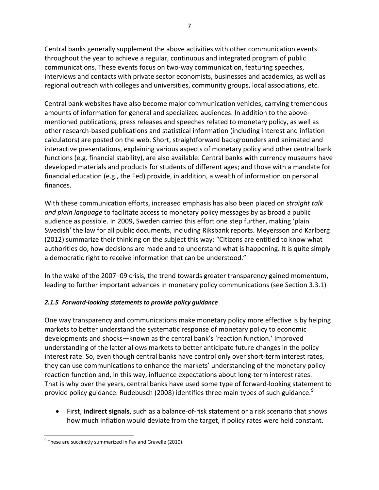Central banks generally supplement the above activities with other communication events throughout the year to achieve a regular, continuous and integrated program of public communications. These events focus on two-way communication, featuring speeches, interviews and contacts with private sector economists, businesses and academics, as well as regional outreach with colleges and universities, community groups, local associations, etc.

Central bank websites have also become major communication vehicles, carrying tremendous amounts of information for general and specialized audiences. In addition to the abovementioned publications, press releases and speeches related to monetary policy, as well as other research-based publications and statistical information (including interest and inflation calculators) are posted on the web. Short, straightforward backgrounders and animated and interactive presentations, explaining various aspects of monetary policy and other central bank functions (e.g. financial stability), are also available. Central banks with currency museums have developed materials and products for students of different ages; and those with a mandate for financial education (e.g., the Fed) provide, in addition, a wealth of information on personal finances.

With these communication efforts, increased emphasis has also been placed on *straight talk and plain language* to facilitate access to monetary policy messages by as broad a public audience as possible. In 2009, Sweden carried this effort one step further, making 'plain Swedish' the law for all public documents, including Riksbank reports. Meyersson and Karlberg (2012) summarize their thinking on the subject this way: "Citizens are entitled to know what authorities do, how decisions are made and to understand what is happening. It is quite simply a democratic right to receive information that can be understood."

In the wake of the 2007–09 crisis, the trend towards greater transparency gained momentum, leading to further important advances in monetary policy communications (see Section 3.3.1)

## *2.1.5 Forward-looking statements to provide policy guidance*

One way transparency and communications make monetary policy more effective is by helping markets to better understand the systematic response of monetary policy to economic developments and shocks—known as the central bank's 'reaction function.' Improved understanding of the latter allows markets to better anticipate future changes in the policy interest rate. So, even though central banks have control only over short-term interest rates, they can use communications to enhance the markets' understanding of the monetary policy reaction function and, in this way, influence expectations about long-term interest rates. That is why over the years, central banks have used some type of forward-looking statement to provide policy guidance. Rudebusch (2008) identifies three main types of such guidance.<sup>[9](#page-11-0)</sup>

• First, **indirect signals**, such as a balance-of-risk statement or a risk scenario that shows how much inflation would deviate from the target, if policy rates were held constant.

<span id="page-11-0"></span> $9$  These are succinctly summarized in Fay and Gravelle (2010).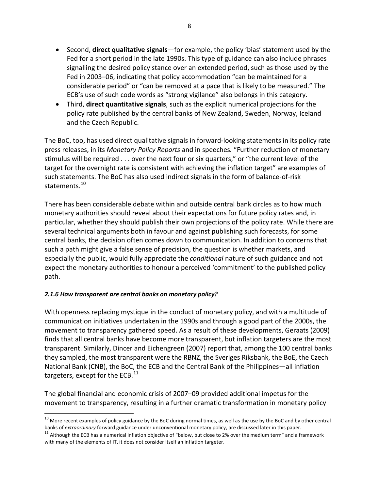- Second, **direct qualitative signals**—for example, the policy 'bias' statement used by the Fed for a short period in the late 1990s. This type of guidance can also include phrases signalling the desired policy stance over an extended period, such as those used by the Fed in 2003–06, indicating that policy accommodation "can be maintained for a considerable period" or "can be removed at a pace that is likely to be measured." The ECB's use of such code words as "strong vigilance" also belongs in this category.
- Third, **direct quantitative signals**, such as the explicit numerical projections for the policy rate published by the central banks of New Zealand, Sweden, Norway, Iceland and the Czech Republic.

The BoC, too, has used direct qualitative signals in forward-looking statements in its policy rate press releases, in its *Monetary Policy Reports* and in speeches*.* "Further reduction of monetary stimulus will be required . . . over the next four or six quarters," or "the current level of the target for the overnight rate is consistent with achieving the inflation target" are examples of such statements. The BoC has also used indirect signals in the form of balance-of-risk statements.<sup>[10](#page-12-0)</sup>

There has been considerable debate within and outside central bank circles as to how much monetary authorities should reveal about their expectations for future policy rates and, in particular, whether they should publish their own projections of the policy rate. While there are several technical arguments both in favour and against publishing such forecasts, for some central banks, the decision often comes down to communication. In addition to concerns that such a path might give a false sense of precision, the question is whether markets, and especially the public, would fully appreciate the *conditional* nature of such guidance and not expect the monetary authorities to honour a perceived 'commitment' to the published policy path.

## *2.1.6 How transparent are central banks on monetary policy?*

With openness replacing mystique in the conduct of monetary policy, and with a multitude of communication initiatives undertaken in the 1990s and through a good part of the 2000s, the movement to transparency gathered speed. As a result of these developments, Geraats (2009) finds that all central banks have become more transparent, but inflation targeters are the most transparent. Similarly, Dincer and Eichengreen (2007) report that, among the 100 central banks they sampled, the most transparent were the RBNZ, the Sveriges Riksbank, the BoE, the Czech National Bank (CNB), the BoC, the ECB and the Central Bank of the Philippines—all inflation targeters, except for the ECB. $^{11}$  $^{11}$  $^{11}$ 

The global financial and economic crisis of 2007–09 provided additional impetus for the movement to transparency, resulting in a further dramatic transformation in monetary policy

<sup>&</sup>lt;sup>10</sup> More recent examples of policy guidance by the BoC during normal times, as well as the use by the BoC and by other central

<span id="page-12-1"></span><span id="page-12-0"></span>banks of *extraordinary* forward guidance under unconventional monetary policy, are discussed later in this paper.<br><sup>11</sup> Although the ECB has a numerical inflation objective of "below, but close to 2% over the medium term" with many of the elements of IT, it does not consider itself an inflation targeter.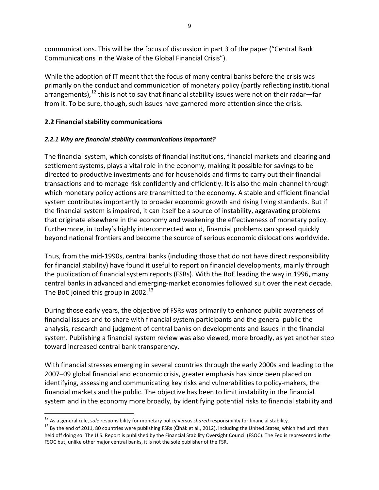communications. This will be the focus of discussion in part 3 of the paper ("Central Bank Communications in the Wake of the Global Financial Crisis").

While the adoption of IT meant that the focus of many central banks before the crisis was primarily on the conduct and communication of monetary policy (partly reflecting institutional arrangements),<sup>[12](#page-13-0)</sup> this is not to say that financial stability issues were not on their radar—far from it. To be sure, though, such issues have garnered more attention since the crisis.

## **2.2 Financial stability communications**

## *2.2.1 Why are financial stability communications important?*

The financial system, which consists of financial institutions, financial markets and clearing and settlement systems, plays a vital role in the economy, making it possible for savings to be directed to productive investments and for households and firms to carry out their financial transactions and to manage risk confidently and efficiently. It is also the main channel through which monetary policy actions are transmitted to the economy. A stable and efficient financial system contributes importantly to broader economic growth and rising living standards. But if the financial system is impaired, it can itself be a source of instability, aggravating problems that originate elsewhere in the economy and weakening the effectiveness of monetary policy. Furthermore, in today's highly interconnected world, financial problems can spread quickly beyond national frontiers and become the source of serious economic dislocations worldwide.

Thus, from the mid-1990s, central banks (including those that do not have direct responsibility for financial stability) have found it useful to report on financial developments, mainly through the publication of financial system reports (FSRs). With the BoE leading the way in 1996, many central banks in advanced and emerging-market economies followed suit over the next decade. The BoC joined this group in 2002. $^{13}$  $^{13}$  $^{13}$ 

During those early years, the objective of FSRs was primarily to enhance public awareness of financial issues and to share with financial system participants and the general public the analysis, research and judgment of central banks on developments and issues in the financial system. Publishing a financial system review was also viewed, more broadly, as yet another step toward increased central bank transparency.

With financial stresses emerging in several countries through the early 2000s and leading to the 2007–09 global financial and economic crisis, greater emphasis has since been placed on identifying, assessing and communicating key risks and vulnerabilities to policy-makers, the financial markets and the public. The objective has been to limit instability in the financial system and in the economy more broadly, by identifying potential risks to financial stability and

<span id="page-13-1"></span><span id="page-13-0"></span><sup>&</sup>lt;sup>12</sup> As a general rule, *sole* responsibility for monetary policy versus shared responsibility for financial stability.<br><sup>13</sup> Bv the end of 2011, 80 countries were publishing FSRs (Čihák et al., 2012), including the United held off doing so. The U.S. Report is published by the Financial Stability Oversight Council (FSOC). The Fed is represented in the FSOC but, unlike other major central banks, it is not the sole publisher of the FSR.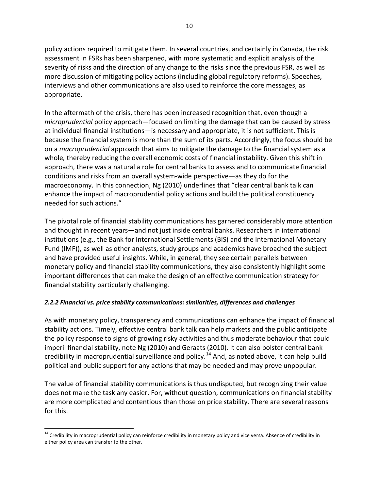policy actions required to mitigate them. In several countries, and certainly in Canada, the risk assessment in FSRs has been sharpened, with more systematic and explicit analysis of the severity of risks and the direction of any change to the risks since the previous FSR, as well as more discussion of mitigating policy actions (including global regulatory reforms). Speeches, interviews and other communications are also used to reinforce the core messages, as appropriate.

In the aftermath of the crisis, there has been increased recognition that, even though a *microprudential* policy approach—focused on limiting the damage that can be caused by stress at individual financial institutions—is necessary and appropriate, it is not sufficient. This is because the financial system is more than the sum of its parts. Accordingly, the focus should be on a *macroprudential* approach that aims to mitigate the damage to the financial system as a whole*,* thereby reducing the overall economic costs of financial instability. Given this shift in approach, there was a natural a role for central banks to assess and to communicate financial conditions and risks from an overall system-wide perspective—as they do for the macroeconomy. In this connection, Ng (2010) underlines that "clear central bank talk can enhance the impact of macroprudential policy actions and build the political constituency needed for such actions."

The pivotal role of financial stability communications has garnered considerably more attention and thought in recent years—and not just inside central banks. Researchers in international institutions (e.g., the Bank for International Settlements (BIS) and the International Monetary Fund (IMF)), as well as other analysts, study groups and academics have broached the subject and have provided useful insights. While, in general, they see certain parallels between monetary policy and financial stability communications, they also consistently highlight some important differences that can make the design of an effective communication strategy for financial stability particularly challenging.

## *2.2.2 Financial vs. price stability* **c***ommunications: similarities, differences and challenges*

As with monetary policy, transparency and communications can enhance the impact of financial stability actions. Timely, effective central bank talk can help markets and the public anticipate the policy response to signs of growing risky activities and thus moderate behaviour that could imperil financial stability, note Ng (2010) and Geraats (2010). It can also bolster central bank credibility in macroprudential surveillance and policy.<sup>[14](#page-14-0)</sup> And, as noted above, it can help build political and public support for any actions that may be needed and may prove unpopular.

The value of financial stability communications is thus undisputed, but recognizing their value does not make the task any easier. For, without question, communications on financial stability are more complicated and contentious than those on price stability. There are several reasons for this.

<span id="page-14-0"></span><sup>&</sup>lt;sup>14</sup> Credibility in macroprudential policy can reinforce credibility in monetary policy and vice versa. Absence of credibility in either policy area can transfer to the other.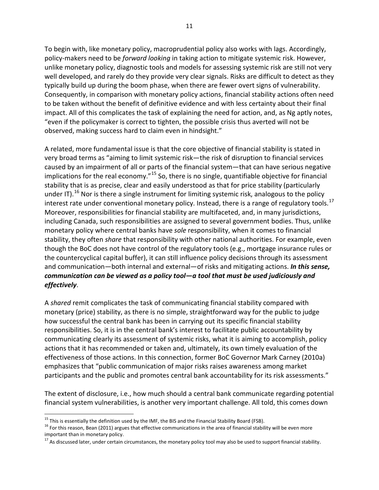To begin with, like monetary policy, macroprudential policy also works with lags. Accordingly, policy-makers need to be *forward looking* in taking action to mitigate systemic risk. However, unlike monetary policy, diagnostic tools and models for assessing systemic risk are still not very well developed, and rarely do they provide very clear signals. Risks are difficult to detect as they typically build up during the boom phase, when there are fewer overt signs of vulnerability. Consequently, in comparison with monetary policy actions, financial stability actions often need to be taken without the benefit of definitive evidence and with less certainty about their final impact. All of this complicates the task of explaining the need for action, and, as Ng aptly notes, "even if the policymaker is correct to tighten, the possible crisis thus averted will not be observed, making success hard to claim even in hindsight."

A related, more fundamental issue is that the core objective of financial stability is stated in very broad terms as "aiming to limit systemic risk—the risk of disruption to financial services caused by an impairment of all or parts of the financial system—that can have serious negative implications for the real economy."<sup>[15](#page-15-0)</sup> So, there is no single, quantifiable objective for financial stability that is as precise, clear and easily understood as that for price stability (particularly under IT).<sup>[16](#page-15-1)</sup> Nor is there a single instrument for limiting systemic risk, analogous to the policy interest rate under conventional monetary policy. Instead, there is a range of regulatory tools.<sup>[17](#page-15-2)</sup> Moreover, responsibilities for financial stability are multifaceted, and, in many jurisdictions, including Canada, such responsibilities are assigned to several government bodies. Thus, unlike monetary policy where central banks have *sole* responsibility, when it comes to financial stability, they often *share* that responsibility with other national authorities. For example, even though the BoC does not have control of the regulatory tools (e.g., mortgage insurance rules or the countercyclical capital buffer), it can still influence policy decisions through its assessment and communication—both internal and external—of risks and mitigating actions. *In this sense, communication can be viewed as a policy tool—a tool that must be used judiciously and effectively*.

A *shared* remit complicates the task of communicating financial stability compared with monetary (price) stability, as there is no simple, straightforward way for the public to judge how successful the central bank has been in carrying out its specific financial stability responsibilities. So, it is in the central bank's interest to facilitate public accountability by communicating clearly its assessment of systemic risks, what it is aiming to accomplish, policy actions that it has recommended or taken and, ultimately, its own timely evaluation of the effectiveness of those actions. In this connection, former BoC Governor Mark Carney (2010a) emphasizes that "public communication of major risks raises awareness among market participants and the public and promotes central bank accountability for its risk assessments."

The extent of disclosure, i.e., how much should a central bank communicate regarding potential financial system vulnerabilities, is another very important challenge. All told, this comes down

<span id="page-15-1"></span><span id="page-15-0"></span><sup>&</sup>lt;sup>15</sup> This is essentially the definition used by the IMF, the BIS and the Financial Stability Board (FSB).<br><sup>16</sup> For this reason, Bean (2011) argues that effective communications in the area of financial stability will be e important than in monetary policy.

<span id="page-15-2"></span> $17$  As discussed later, under certain circumstances, the monetary policy tool may also be used to support financial stability.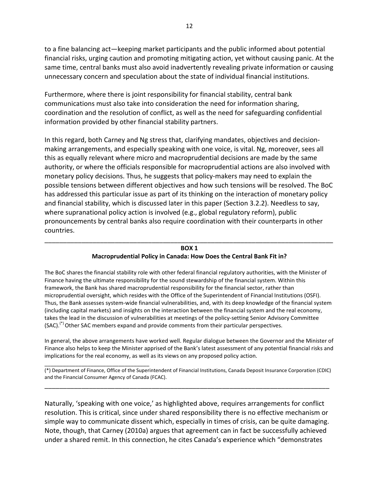to a fine balancing act—keeping market participants and the public informed about potential financial risks, urging caution and promoting mitigating action, yet without causing panic. At the same time, central banks must also avoid inadvertently revealing private information or causing unnecessary concern and speculation about the state of individual financial institutions.

Furthermore, where there is joint responsibility for financial stability, central bank communications must also take into consideration the need for information sharing, coordination and the resolution of conflict, as well as the need for safeguarding confidential information provided by other financial stability partners.

In this regard, both Carney and Ng stress that, clarifying mandates, objectives and decisionmaking arrangements, and especially speaking with one voice, is vital. Ng, moreover, sees all this as equally relevant where micro and macroprudential decisions are made by the same authority, or where the officials responsible for macroprudential actions are also involved with monetary policy decisions. Thus, he suggests that policy-makers may need to explain the possible tensions between different objectives and how such tensions will be resolved. The BoC has addressed this particular issue as part of its thinking on the interaction of monetary policy and financial stability, which is discussed later in this paper (Section 3.2.2). Needless to say, where supranational policy action is involved (e.g., global regulatory reform), public pronouncements by central banks also require coordination with their counterparts in other countries.

### \_\_\_\_\_\_\_\_\_\_\_\_\_\_\_\_\_\_\_\_\_\_\_\_\_\_\_\_\_\_\_\_\_\_\_\_\_\_\_\_\_\_\_\_\_\_\_\_\_\_\_\_\_\_\_\_\_\_\_\_\_\_\_\_\_\_\_\_\_\_\_\_\_\_\_\_\_\_ **BOX 1**

#### **Macroprudential Policy in Canada: How Does the Central Bank Fit in?**

The BoC shares the financial stability role with other federal financial regulatory authorities, with the Minister of Finance having the ultimate responsibility for the sound stewardship of the financial system. Within this framework, the Bank has shared macroprudential responsibility for the financial sector, rather than microprudential oversight, which resides with the Office of the Superintendent of Financial Institutions (OSFI). Thus, the Bank assesses system-wide financial vulnerabilities, and, with its deep knowledge of the financial system (including capital markets) and insights on the interaction between the financial system and the real economy, takes the lead in the discussion of vulnerabilities at meetings of the policy-setting Senior Advisory Committee (SAC).<sup>(\*)</sup> Other SAC members expand and provide comments from their particular perspectives.

In general, the above arrangements have worked well. Regular dialogue between the Governor and the Minister of Finance also helps to keep the Minister apprised of the Bank's latest assessment of any potential financial risks and implications for the real economy, as well as its views on any proposed policy action.

\_\_\_\_\_\_\_\_\_\_\_\_\_\_\_\_\_\_\_\_\_\_\_\_\_\_\_\_\_\_\_\_\_\_ (\*) Department of Finance, Office of the Superintendent of Financial Institutions, Canada Deposit Insurance Corporation (CDIC) and the Financial Consumer Agency of Canada (FCAC).

\_\_\_\_\_\_\_\_\_\_\_\_\_\_\_\_\_\_\_\_\_\_\_\_\_\_\_\_\_\_\_\_\_\_\_\_\_\_\_\_\_\_\_\_\_\_\_\_\_\_\_\_\_\_\_\_\_\_\_\_\_\_\_\_\_\_\_\_\_\_\_\_\_\_\_\_\_

Naturally, 'speaking with one voice,' as highlighted above, requires arrangements for conflict resolution. This is critical, since under shared responsibility there is no effective mechanism or simple way to communicate dissent which, especially in times of crisis, can be quite damaging. Note, though, that Carney (2010a) argues that agreement can in fact be successfully achieved under a shared remit. In this connection, he cites Canada's experience which "demonstrates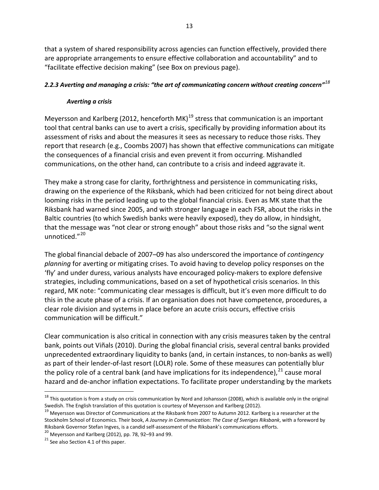that a system of shared responsibility across agencies can function effectively, provided there are appropriate arrangements to ensure effective collaboration and accountability" and to "facilitate effective decision making" (see Box on previous page).

## *2.2.3 Averting and managing a crisis: "the art of communicating concern without creating concern"[18](#page-17-0)*

## *Averting a crisis*

Meyersson and Karlberg (2012, henceforth MK)<sup>[19](#page-17-1)</sup> stress that communication is an important tool that central banks can use to avert a crisis, specifically by providing information about its assessment of risks and about the measures it sees as necessary to reduce those risks. They report that research (e.g., Coombs 2007) has shown that effective communications can mitigate the consequences of a financial crisis and even prevent it from occurring. Mishandled communications, on the other hand, can contribute to a crisis and indeed aggravate it.

They make a strong case for clarity, forthrightness and persistence in communicating risks, drawing on the experience of the Riksbank, which had been criticized for not being direct about looming risks in the period leading up to the global financial crisis. Even as MK state that the Riksbank had warned since 2005, and with stronger language in each FSR, about the risks in the Baltic countries (to which Swedish banks were heavily exposed), they do allow, in hindsight, that the message was "not clear or strong enough" about those risks and "so the signal went unnoticed."[20](#page-17-2)

The global financial debacle of 2007–09 has also underscored the importance of *contingency planning* for averting or mitigating crises. To avoid having to develop policy responses on the 'fly' and under duress, various analysts have encouraged policy-makers to explore defensive strategies, including communications, based on a set of hypothetical crisis scenarios. In this regard, MK note: "communicating clear messages is difficult, but it's even more difficult to do this in the acute phase of a crisis. If an organisation does not have competence, procedures, a clear role division and systems in place before an acute crisis occurs, effective crisis communication will be difficult."

Clear communication is also critical in connection with any crisis measures taken by the central bank, points out Viñals (2010). During the global financial crisis, several central banks provided unprecedented extraordinary liquidity to banks (and, in certain instances, to non-banks as well) as part of their lender-of-last resort (LOLR) role. Some of these measures can potentially blur the policy role of a central bank (and have implications for its independence),  $21$  cause moral hazard and de-anchor inflation expectations. To facilitate proper understanding by the markets

<span id="page-17-0"></span> $^{18}$  This quotation is from a study on crisis communication by Nord and Johansson (2008), which is available only in the original

<span id="page-17-1"></span>Swedish. The English translation of this quotation is courtesy of Meyersson and Karlberg (2012).<br><sup>19</sup> Meyersson was Director of Communications at the Riksbank from 2007 to Autumn 2012. Karlberg is a researcher at the Stockholm School of Economics. Their book, *A Journey in Communication: The Case of Sveriges Riksbank*, with a foreword by Riksbank Governor Stefan Ingves, is a candid self-assessment of the Riksbank's communications efforts.<br><sup>20</sup> Meyersson and Karlberg (2012), pp. 78, 92–93 and 99.<br><sup>21</sup> See also Section 4.1 of this paper.

<span id="page-17-2"></span>

<span id="page-17-3"></span>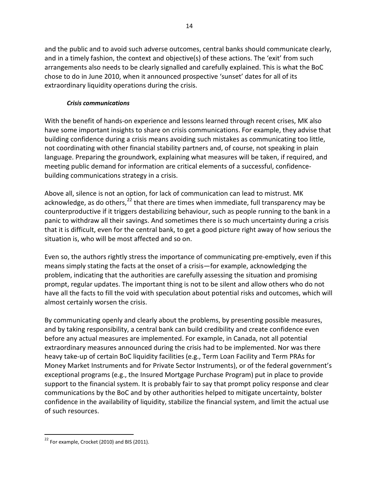and the public and to avoid such adverse outcomes, central banks should communicate clearly, and in a timely fashion, the context and objective(s) of these actions. The 'exit' from such arrangements also needs to be clearly signalled and carefully explained. This is what the BoC chose to do in June 2010, when it announced prospective 'sunset' dates for all of its extraordinary liquidity operations during the crisis.

## *Crisis communications*

With the benefit of hands-on experience and lessons learned through recent crises, MK also have some important insights to share on crisis communications. For example, they advise that building confidence during a crisis means avoiding such mistakes as communicating too little, not coordinating with other financial stability partners and, of course, not speaking in plain language. Preparing the groundwork, explaining what measures will be taken, if required, and meeting public demand for information are critical elements of a successful, confidencebuilding communications strategy in a crisis.

Above all, silence is not an option, for lack of communication can lead to mistrust. MK acknowledge, as do others,  $22$  that there are times when immediate, full transparency may be counterproductive if it triggers destabilizing behaviour, such as people running to the bank in a panic to withdraw all their savings. And sometimes there is so much uncertainty during a crisis that it is difficult, even for the central bank, to get a good picture right away of how serious the situation is, who will be most affected and so on.

Even so, the authors rightly stress the importance of communicating pre-emptively, even if this means simply stating the facts at the onset of a crisis—for example, acknowledging the problem, indicating that the authorities are carefully assessing the situation and promising prompt, regular updates. The important thing is not to be silent and allow others who do not have all the facts to fill the void with speculation about potential risks and outcomes, which will almost certainly worsen the crisis.

By communicating openly and clearly about the problems, by presenting possible measures, and by taking responsibility, a central bank can build credibility and create confidence even before any actual measures are implemented. For example, in Canada, not all potential extraordinary measures announced during the crisis had to be implemented. Nor was there heavy take-up of certain BoC liquidity facilities (e.g., Term Loan Facility and Term PRAs for Money Market Instruments and for Private Sector Instruments), or of the federal government's exceptional programs (e.g., the Insured Mortgage Purchase Program) put in place to provide support to the financial system. It is probably fair to say that prompt policy response and clear communications by the BoC and by other authorities helped to mitigate uncertainty, bolster confidence in the availability of liquidity, stabilize the financial system, and limit the actual use of such resources.

<span id="page-18-0"></span> $22$  For example, Crocket (2010) and BIS (2011).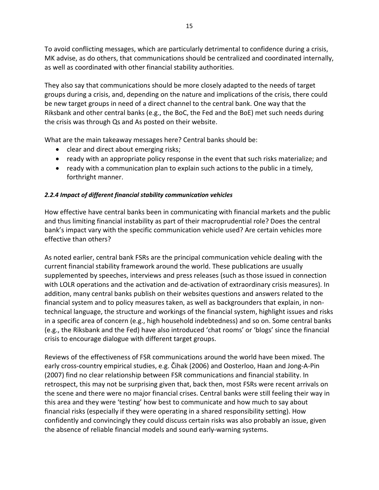To avoid conflicting messages, which are particularly detrimental to confidence during a crisis, MK advise, as do others, that communications should be centralized and coordinated internally, as well as coordinated with other financial stability authorities.

They also say that communications should be more closely adapted to the needs of target groups during a crisis, and, depending on the nature and implications of the crisis, there could be new target groups in need of a direct channel to the central bank. One way that the Riksbank and other central banks (e.g., the BoC, the Fed and the BoE) met such needs during the crisis was through Qs and As posted on their website.

What are the main takeaway messages here? Central banks should be:

- clear and direct about emerging risks;
- ready with an appropriate policy response in the event that such risks materialize; and
- ready with a communication plan to explain such actions to the public in a timely, forthright manner.

## *2.2.4 Impact of different financial stability communication vehicles*

How effective have central banks been in communicating with financial markets and the public and thus limiting financial instability as part of their macroprudential role? Does the central bank's impact vary with the specific communication vehicle used? Are certain vehicles more effective than others?

As noted earlier, central bank FSRs are the principal communication vehicle dealing with the current financial stability framework around the world. These publications are usually supplemented by speeches, interviews and press releases (such as those issued in connection with LOLR operations and the activation and de-activation of extraordinary crisis measures). In addition, many central banks publish on their websites questions and answers related to the financial system and to policy measures taken, as well as backgrounders that explain, in nontechnical language, the structure and workings of the financial system, highlight issues and risks in a specific area of concern (e.g., high household indebtedness) and so on. Some central banks (e.g., the Riksbank and the Fed) have also introduced 'chat rooms' or 'blogs' since the financial crisis to encourage dialogue with different target groups.

Reviews of the effectiveness of FSR communications around the world have been mixed. The early cross-country empirical studies, e.g. Čihak (2006) and Oosterloo, Haan and Jong-A-Pin (2007) find no clear relationship between FSR communications and financial stability. In retrospect, this may not be surprising given that, back then, most FSRs were recent arrivals on the scene and there were no major financial crises. Central banks were still feeling their way in this area and they were 'testing' how best to communicate and how much to say about financial risks (especially if they were operating in a shared responsibility setting). How confidently and convincingly they could discuss certain risks was also probably an issue, given the absence of reliable financial models and sound early-warning systems.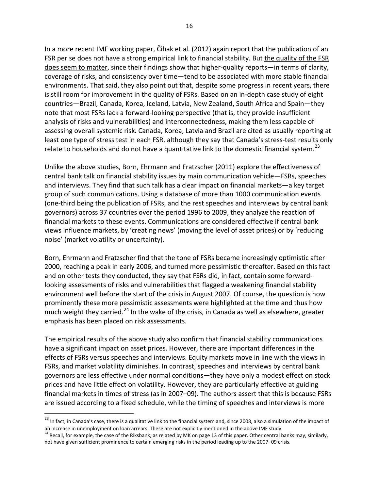In a more recent IMF working paper, Čihak et al. (2012) again report that the publication of an FSR per se does not have a strong empirical link to financial stability. But the quality of the FSR does seem to matter, since their findings show that higher-quality reports—in terms of clarity, coverage of risks, and consistency over time—tend to be associated with more stable financial environments. That said, they also point out that, despite some progress in recent years, there is still room for improvement in the quality of FSRs. Based on an in-depth case study of eight countries—Brazil, Canada, Korea, Iceland, Latvia, New Zealand, South Africa and Spain—they note that most FSRs lack a forward-looking perspective (that is, they provide insufficient analysis of risks and vulnerabilities) and interconnectedness, making them less capable of assessing overall systemic risk. Canada, Korea, Latvia and Brazil are cited as usually reporting at least one type of stress test in each FSR, although they say that Canada's stress-test results only relate to households and do not have a quantitative link to the domestic financial system.<sup>[23](#page-20-0)</sup>

Unlike the above studies, Born, Ehrmann and Fratzscher (2011) explore the effectiveness of central bank talk on financial stability issues by main communication vehicle—FSRs, speeches and interviews. They find that such talk has a clear impact on financial markets—a key target group of such communications. Using a database of more than 1000 communication events (one-third being the publication of FSRs, and the rest speeches and interviews by central bank governors) across 37 countries over the period 1996 to 2009, they analyze the reaction of financial markets to these events. Communications are considered effective if central bank views influence markets, by 'creating news' (moving the level of asset prices) or by 'reducing noise' (market volatility or uncertainty).

Born, Ehrmann and Fratzscher find that the tone of FSRs became increasingly optimistic after 2000, reaching a peak in early 2006, and turned more pessimistic thereafter. Based on this fact and on other tests they conducted, they say that FSRs did, in fact, contain some forwardlooking assessments of risks and vulnerabilities that flagged a weakening financial stability environment well before the start of the crisis in August 2007. Of course, the question is how prominently these more pessimistic assessments were highlighted at the time and thus how much weight they carried.<sup>[24](#page-20-1)</sup> In the wake of the crisis, in Canada as well as elsewhere, greater emphasis has been placed on risk assessments.

The empirical results of the above study also confirm that financial stability communications have a significant impact on asset prices. However, there are important differences in the effects of FSRs versus speeches and interviews. Equity markets move in line with the views in FSRs, and market volatility diminishes. In contrast, speeches and interviews by central bank governors are less effective under normal conditions—they have only a modest effect on stock prices and have little effect on volatility. However, they are particularly effective at guiding financial markets in times of stress (as in 2007–09). The authors assert that this is because FSRs are issued according to a fixed schedule, while the timing of speeches and interviews is more

<span id="page-20-0"></span><sup>&</sup>lt;sup>23</sup> In fact, in Canada's case, there is a qualitative link to the financial system and, since 2008, also a simulation of the impact of an increase in unemployment on loan arrears. These are not explicitly mentioned in the

<span id="page-20-1"></span><sup>&</sup>lt;sup>24</sup> Recall, for example, the case of the Riksbank, as related by MK on page 13 of this paper. Other central banks may, similarly, not have given sufficient prominence to certain emerging risks in the period leading up to the 2007–09 crisis.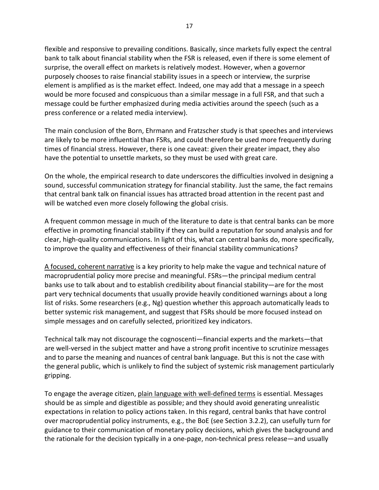flexible and responsive to prevailing conditions. Basically, since markets fully expect the central bank to talk about financial stability when the FSR is released, even if there is some element of surprise, the overall effect on markets is relatively modest. However, when a governor purposely chooses to raise financial stability issues in a speech or interview, the surprise element is amplified as is the market effect. Indeed, one may add that a message in a speech would be more focused and conspicuous than a similar message in a full FSR, and that such a message could be further emphasized during media activities around the speech (such as a press conference or a related media interview).

The main conclusion of the Born, Ehrmann and Fratzscher study is that speeches and interviews are likely to be more influential than FSRs, and could therefore be used more frequently during times of financial stress. However, there is one caveat: given their greater impact, they also have the potential to unsettle markets, so they must be used with great care.

On the whole, the empirical research to date underscores the difficulties involved in designing a sound, successful communication strategy for financial stability. Just the same, the fact remains that central bank talk on financial issues has attracted broad attention in the recent past and will be watched even more closely following the global crisis.

A frequent common message in much of the literature to date is that central banks can be more effective in promoting financial stability if they can build a reputation for sound analysis and for clear, high-quality communications. In light of this, what can central banks do, more specifically, to improve the quality and effectiveness of their financial stability communications?

A focused, coherent narrative is a key priority to help make the vague and technical nature of macroprudential policy more precise and meaningful. FSRs—the principal medium central banks use to talk about and to establish credibility about financial stability—are for the most part very technical documents that usually provide heavily conditioned warnings about a long list of risks. Some researchers (e.g., Ng) question whether this approach automatically leads to better systemic risk management, and suggest that FSRs should be more focused instead on simple messages and on carefully selected, prioritized key indicators.

Technical talk may not discourage the cognoscenti—financial experts and the markets—that are well-versed in the subject matter and have a strong profit incentive to scrutinize messages and to parse the meaning and nuances of central bank language. But this is not the case with the general public, which is unlikely to find the subject of systemic risk management particularly gripping.

To engage the average citizen, plain language with well-defined terms is essential. Messages should be as simple and digestible as possible; and they should avoid generating unrealistic expectations in relation to policy actions taken. In this regard, central banks that have control over macroprudential policy instruments, e.g., the BoE (see Section 3.2.2), can usefully turn for guidance to their communication of monetary policy decisions, which gives the background and the rationale for the decision typically in a one-page, non-technical press release—and usually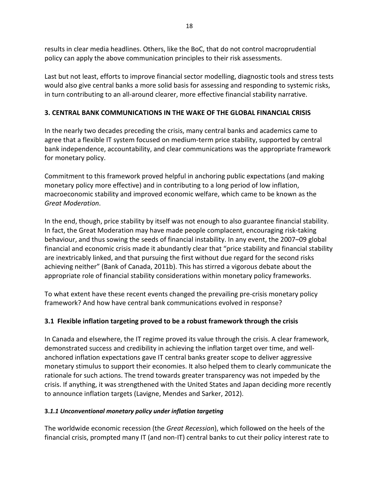results in clear media headlines. Others, like the BoC, that do not control macroprudential policy can apply the above communication principles to their risk assessments.

Last but not least, efforts to improve financial sector modelling, diagnostic tools and stress tests would also give central banks a more solid basis for assessing and responding to systemic risks, in turn contributing to an all-around clearer, more effective financial stability narrative.

## **3. CENTRAL BANK COMMUNICATIONS IN THE WAKE OF THE GLOBAL FINANCIAL CRISIS**

In the nearly two decades preceding the crisis, many central banks and academics came to agree that a flexible IT system focused on medium-term price stability, supported by central bank independence, accountability, and clear communications was the appropriate framework for monetary policy.

Commitment to this framework proved helpful in anchoring public expectations (and making monetary policy more effective) and in contributing to a long period of low inflation, macroeconomic stability and improved economic welfare, which came to be known as the *Great Moderation*.

In the end, though, price stability by itself was not enough to also guarantee financial stability. In fact, the Great Moderation may have made people complacent, encouraging risk-taking behaviour, and thus sowing the seeds of financial instability. In any event, the 2007–09 global financial and economic crisis made it abundantly clear that "price stability and financial stability are inextricably linked, and that pursuing the first without due regard for the second risks achieving neither" (Bank of Canada, 2011b). This has stirred a vigorous debate about the appropriate role of financial stability considerations within monetary policy frameworks.

To what extent have these recent events changed the prevailing pre-crisis monetary policy framework? And how have central bank communications evolved in response?

## **3.1 Flexible inflation targeting proved to be a robust framework through the crisis**

In Canada and elsewhere, the IT regime proved its value through the crisis. A clear framework, demonstrated success and credibility in achieving the inflation target over time, and wellanchored inflation expectations gave IT central banks greater scope to deliver aggressive monetary stimulus to support their economies. It also helped them to clearly communicate the rationale for such actions. The trend towards greater transparency was not impeded by the crisis. If anything, it was strengthened with the United States and Japan deciding more recently to announce inflation targets (Lavigne, Mendes and Sarker, 2012).

## **3.***1.1 Unconventional monetary policy under inflation targeting*

The worldwide economic recession (the *Great Recession*), which followed on the heels of the financial crisis, prompted many IT (and non-IT) central banks to cut their policy interest rate to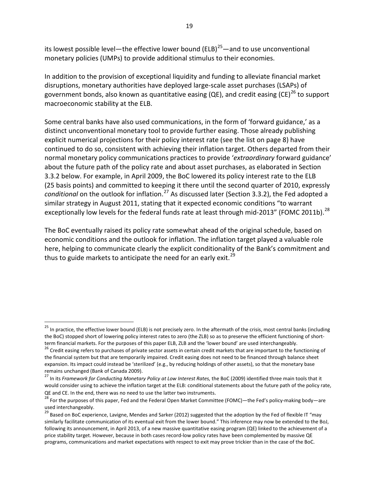its lowest possible level—the effective lower bound (ELB)<sup>25</sup>—and to use unconventional monetary policies (UMPs) to provide additional stimulus to their economies.

In addition to the provision of exceptional liquidity and funding to alleviate financial market disruptions, monetary authorities have deployed large-scale asset purchases (LSAPs) of government bonds, also known as quantitative easing (QE), and credit easing (CE)<sup>[26](#page-23-1)</sup> to support macroeconomic stability at the ELB.

Some central banks have also used communications, in the form of 'forward guidance,' as a distinct unconventional monetary tool to provide further easing. Those already publishing explicit numerical projections for their policy interest rate (see the list on page 8) have continued to do so, consistent with achieving their inflation target. Others departed from their normal monetary policy communications practices to provide '*extraordinary* forward guidance' about the future path of the policy rate and about asset purchases, as elaborated in Section 3.3.2 below. For example, in April 2009, the BoC lowered its policy interest rate to the ELB (25 basis points) and committed to keeping it there until the second quarter of 2010, expressly *conditional* on the outlook for inflation.<sup>[27](#page-23-2)</sup> As discussed later (Section 3.3.2), the Fed adopted a similar strategy in August 2011, stating that it expected economic conditions "to warrant exceptionally low levels for the federal funds rate at least through mid-2013" (FOMC 2011b).<sup>[28](#page-23-3)</sup>

The BoC eventually raised its policy rate somewhat ahead of the original schedule, based on economic conditions and the outlook for inflation. The inflation target played a valuable role here, helping to communicate clearly the explicit conditionality of the Bank's commitment and thus to guide markets to anticipate the need for an early exit.<sup>[29](#page-23-4)</sup>

<span id="page-23-0"></span><sup>&</sup>lt;sup>25</sup> In practice, the effective lower bound (ELB) is not precisely zero. In the aftermath of the crisis, most central banks (including the BoC) stopped short of lowering policy interest rates to zero (the ZLB) so as to preserve the efficient functioning of shortterm financial markets. For the purposes of this paper ELB, ZLB and the 'lower bound' are used interchangeably.<br><sup>26</sup> Credit easing refers to purchases of private sector assets in certain credit markets that are important

<span id="page-23-1"></span>the financial system but that are temporarily impaired. Credit easing does not need to be financed through balance sheet expansion. Its impact could instead be 'sterilized' (e.g., by reducing holdings of other assets), so that the monetary base remains unchanged (Bank of Canada 2009).

<span id="page-23-2"></span><sup>27</sup> In its *Framework for Conducting Monetary Policy at Low Interest Rates,* the BoC (2009) identified three main tools that it would consider using to achieve the inflation target at the ELB: conditional statements about the future path of the policy rate, QE and CE. In the end, there was no need to use the latter two instruments.<br><sup>28</sup> For the purposes of this paper, Fed and the Federal Open Market Committee (FOMC)—the Fed's policy-making body—are

<span id="page-23-3"></span>used interchangeably.

<span id="page-23-4"></span><sup>&</sup>lt;sup>29</sup> Based on BoC experience, Lavigne, Mendes and Sarker (2012) suggested that the adoption by the Fed of flexible IT "may similarly facilitate communication of its eventual exit from the lower bound." This inference may now be extended to the BoJ, following its announcement, in April 2013, of a new massive quantitative easing program (QE) linked to the achievement of a price stability target. However, because in both cases record-low policy rates have been complemented by massive QE programs, communications and market expectations with respect to exit may prove trickier than in the case of the BoC.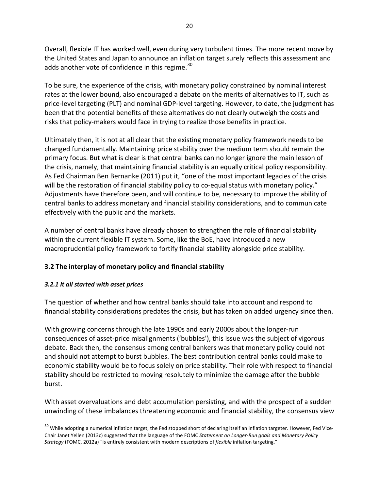Overall, flexible IT has worked well, even during very turbulent times. The more recent move by the United States and Japan to announce an inflation target surely reflects this assessment and adds another vote of confidence in this regime.<sup>[30](#page-24-0)</sup>

To be sure, the experience of the crisis, with monetary policy constrained by nominal interest rates at the lower bound, also encouraged a debate on the merits of alternatives to IT, such as price-level targeting (PLT) and nominal GDP-level targeting. However, to date, the judgment has been that the potential benefits of these alternatives do not clearly outweigh the costs and risks that policy-makers would face in trying to realize those benefits in practice.

Ultimately then, it is not at all clear that the existing monetary policy framework needs to be changed fundamentally. Maintaining price stability over the medium term should remain the primary focus. But what is clear is that central banks can no longer ignore the main lesson of the crisis, namely, that maintaining financial stability is an equally critical policy responsibility. As Fed Chairman Ben Bernanke (2011) put it, "one of the most important legacies of the crisis will be the restoration of financial stability policy to co-equal status with monetary policy." Adjustments have therefore been, and will continue to be, necessary to improve the ability of central banks to address monetary and financial stability considerations, and to communicate effectively with the public and the markets.

A number of central banks have already chosen to strengthen the role of financial stability within the current flexible IT system. Some, like the BoE, have introduced a new macroprudential policy framework to fortify financial stability alongside price stability.

## **3.2 The interplay of monetary policy and financial stability**

## *3.2.1 It all started with asset prices*

The question of whether and how central banks should take into account and respond to financial stability considerations predates the crisis, but has taken on added urgency since then.

With growing concerns through the late 1990s and early 2000s about the longer-run consequences of asset-price misalignments ('bubbles'), this issue was the subject of vigorous debate. Back then, the consensus among central bankers was that monetary policy could not and should not attempt to burst bubbles. The best contribution central banks could make to economic stability would be to focus solely on price stability. Their role with respect to financial stability should be restricted to moving resolutely to minimize the damage after the bubble burst.

With asset overvaluations and debt accumulation persisting, and with the prospect of a sudden unwinding of these imbalances threatening economic and financial stability, the consensus view

<span id="page-24-0"></span><sup>&</sup>lt;sup>30</sup> While adopting a numerical inflation target, the Fed stopped short of declaring itself an inflation targeter. However, Fed Vice-Chair Janet Yellen (2013c) suggested that the language of the FOMC *Statement on Longer-Run goals and Monetary Policy Strategy* (FOMC, 2012a) "is entirely consistent with modern descriptions of *flexible* inflation targeting."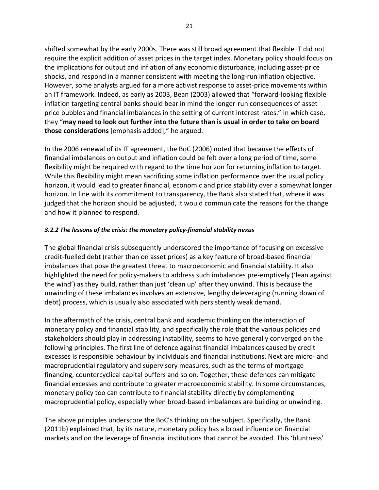shifted somewhat by the early 2000s. There was still broad agreement that flexible IT did not require the explicit addition of asset prices in the target index. Monetary policy should focus on the implications for output and inflation of any economic disturbance, including asset-price shocks, and respond in a manner consistent with meeting the long-run inflation objective. However, some analysts argued for a more activist response to asset-price movements within an IT framework. Indeed, as early as 2003, Bean (2003) allowed that "forward-looking flexible inflation targeting central banks should bear in mind the longer-run consequences of asset price bubbles and financial imbalances in the setting of current interest rates." In which case, they "**may need to look out further into the future than is usual in order to take on board those considerations** [emphasis added]," he argued.

In the 2006 renewal of its IT agreement, the BoC (2006) noted that because the effects of financial imbalances on output and inflation could be felt over a long period of time, some flexibility might be required with regard to the time horizon for returning inflation to target. While this flexibility might mean sacrificing some inflation performance over the usual policy horizon, it would lead to greater financial, economic and price stability over a somewhat longer horizon. In line with its commitment to transparency, the Bank also stated that, where it was judged that the horizon should be adjusted, it would communicate the reasons for the change and how it planned to respond.

## *3.2.2 The lessons of the crisis: the monetary policy-financial stability nexus*

The global financial crisis subsequently underscored the importance of focusing on excessive credit-fuelled debt (rather than on asset prices) as a key feature of broad-based financial imbalances that pose the greatest threat to macroeconomic and financial stability. It also highlighted the need for policy-makers to address such imbalances pre-emptively ('lean against the wind') as they build, rather than just 'clean up' after they unwind. This is because the unwinding of these imbalances involves an extensive, lengthy deleveraging (running down of debt) process, which is usually also associated with persistently weak demand.

In the aftermath of the crisis, central bank and academic thinking on the interaction of monetary policy and financial stability, and specifically the role that the various policies and stakeholders should play in addressing instability, seems to have generally converged on the following principles. The first line of defence against financial imbalances caused by credit excesses is responsible behaviour by individuals and financial institutions. Next are micro- and macroprudential regulatory and supervisory measures, such as the terms of mortgage financing, countercyclical capital buffers and so on. Together, these defences can mitigate financial excesses and contribute to greater macroeconomic stability. In some circumstances, monetary policy too can contribute to financial stability directly by complementing macroprudential policy, especially when broad-based imbalances are building or unwinding.

The above principles underscore the BoC's thinking on the subject. Specifically, the Bank (2011b) explained that, by its nature, monetary policy has a broad influence on financial markets and on the leverage of financial institutions that cannot be avoided. This 'bluntness'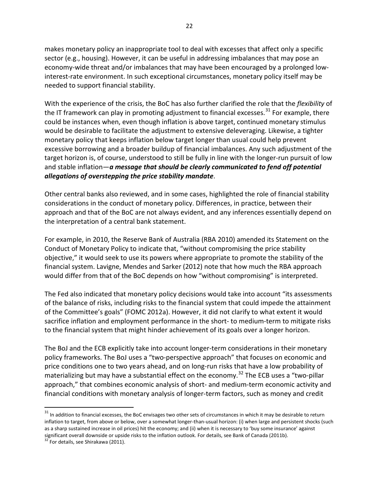makes monetary policy an inappropriate tool to deal with excesses that affect only a specific sector (e.g., housing). However, it can be useful in addressing imbalances that may pose an economy-wide threat and/or imbalances that may have been encouraged by a prolonged lowinterest-rate environment. In such exceptional circumstances, monetary policy itself may be needed to support financial stability.

With the experience of the crisis, the BoC has also further clarified the role that the *flexibility* of the IT framework can play in promoting adjustment to financial excesses.<sup>[31](#page-26-0)</sup> For example, there could be instances when, even though inflation is above target, continued monetary stimulus would be desirable to facilitate the adjustment to extensive deleveraging. Likewise, a tighter monetary policy that keeps inflation below target longer than usual could help prevent excessive borrowing and a broader buildup of financial imbalances. Any such adjustment of the target horizon is, of course, understood to still be fully in line with the longer-run pursuit of low and stable inflation—*a message that should be clearly communicated to fend off potential allegations of overstepping the price stability mandate*.

Other central banks also reviewed, and in some cases, highlighted the role of financial stability considerations in the conduct of monetary policy. Differences, in practice, between their approach and that of the BoC are not always evident, and any inferences essentially depend on the interpretation of a central bank statement.

For example, in 2010, the Reserve Bank of Australia (RBA 2010) amended its Statement on the Conduct of Monetary Policy to indicate that, "without compromising the price stability objective," it would seek to use its powers where appropriate to promote the stability of the financial system. Lavigne, Mendes and Sarker (2012) note that how much the RBA approach would differ from that of the BoC depends on how "without compromising" is interpreted.

The Fed also indicated that monetary policy decisions would take into account "its assessments of the balance of risks, including risks to the financial system that could impede the attainment of the Committee's goals" (FOMC 2012a). However, it did not clarify to what extent it would sacrifice inflation and employment performance in the short- to medium-term to mitigate risks to the financial system that might hinder achievement of its goals over a longer horizon.

The BoJ and the ECB explicitly take into account longer-term considerations in their monetary policy frameworks. The BoJ uses a "two-perspective approach" that focuses on economic and price conditions one to two years ahead, and on long-run risks that have a low probability of materializing but may have a substantial effect on the economy.<sup>[32](#page-26-1)</sup> The ECB uses a "two-pillar approach," that combines economic analysis of short- and medium-term economic activity and financial conditions with monetary analysis of longer-term factors, such as money and credit

<span id="page-26-0"></span> $31$  In addition to financial excesses, the BoC envisages two other sets of circumstances in which it may be desirable to return inflation to target, from above or below, over a somewhat longer-than-usual horizon: (i) when large and persistent shocks (such as a sharp sustained increase in oil prices) hit the economy; and (ii) when it is necessary to 'buy some insurance' against significant overall downside or upside risks to the inflation outlook. For details, see Bank of Canada (2011b).<br><sup>32</sup> For details, see Shirakawa (2011).

<span id="page-26-1"></span>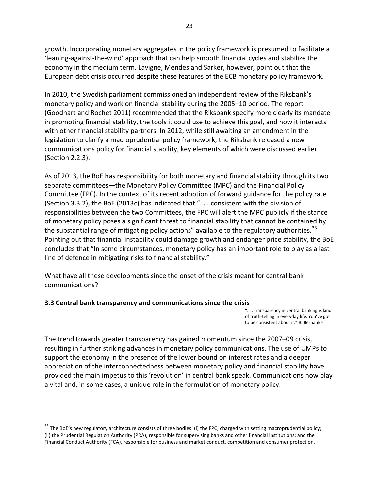growth. Incorporating monetary aggregates in the policy framework is presumed to facilitate a 'leaning-against-the-wind' approach that can help smooth financial cycles and stabilize the economy in the medium term. Lavigne, Mendes and Sarker, however, point out that the European debt crisis occurred despite these features of the ECB monetary policy framework.

In 2010, the Swedish parliament commissioned an independent review of the Riksbank's monetary policy and work on financial stability during the 2005–10 period. The report (Goodhart and Rochet 2011) recommended that the Riksbank specify more clearly its mandate in promoting financial stability, the tools it could use to achieve this goal, and how it interacts with other financial stability partners. In 2012, while still awaiting an amendment in the legislation to clarify a macroprudential policy framework, the Riksbank released a new communications policy for financial stability, key elements of which were discussed earlier (Section 2.2.3).

As of 2013, the BoE has responsibility for both monetary and financial stability through its two separate committees—the Monetary Policy Committee (MPC) and the Financial Policy Committee (FPC). In the context of its recent adoption of forward guidance for the policy rate (Section 3.3.2), the BoE (2013c) has indicated that ". . . consistent with the division of responsibilities between the two Committees, the FPC will alert the MPC publicly if the stance of monetary policy poses a significant threat to financial stability that cannot be contained by the substantial range of mitigating policy actions" available to the regulatory authorities.<sup>[33](#page-27-0)</sup> Pointing out that financial instability could damage growth and endanger price stability, the BoE concludes that "In some circumstances, monetary policy has an important role to play as a last line of defence in mitigating risks to financial stability."

What have all these developments since the onset of the crisis meant for central bank communications?

#### **3.3 Central bank transparency and communications since the crisis**

". . . transparency in central banking is kind of truth-telling in everyday life. You've got to be consistent about it." B. Bernanke

The trend towards greater transparency has gained momentum since the 2007–09 crisis, resulting in further striking advances in monetary policy communications. The use of UMPs to support the economy in the presence of the lower bound on interest rates and a deeper appreciation of the interconnectedness between monetary policy and financial stability have provided the main impetus to this 'revolution' in central bank speak. Communications now play a vital and, in some cases, a unique role in the formulation of monetary policy.

<span id="page-27-0"></span> $33$  The BoE's new regulatory architecture consists of three bodies: (i) the FPC, charged with setting macroprudential policy; (ii) the Prudential Regulation Authority (PRA), responsible for supervising banks and other financial institutions; and the Financial Conduct Authority (FCA), responsible for business and market conduct, competition and consumer protection.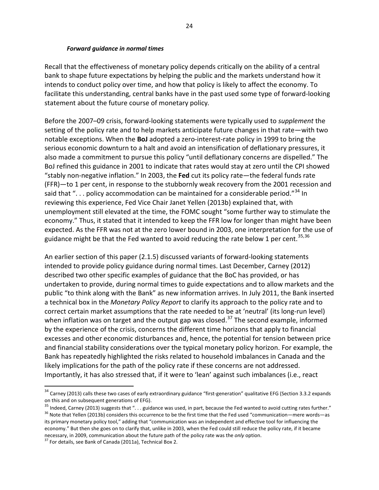#### *Forward guidance in normal times*

Recall that the effectiveness of monetary policy depends critically on the ability of a central bank to shape future expectations by helping the public and the markets understand how it intends to conduct policy over time, and how that policy is likely to affect the economy. To facilitate this understanding, central banks have in the past used some type of forward-looking statement about the future course of monetary policy*.*

Before the 2007–09 crisis, forward-looking statements were typically used to *supplement* the setting of the policy rate and to help markets anticipate future changes in that rate—with two notable exceptions. When the **BoJ** adopted a zero-interest-rate policy in 1999 to bring the serious economic downturn to a halt and avoid an intensification of deflationary pressures, it also made a commitment to pursue this policy "until deflationary concerns are dispelled." The BoJ refined this guidance in 2001 to indicate that rates would stay at zero until the CPI showed "stably non-negative inflation." In 2003, the **Fed** cut its policy rate—the federal funds rate (FFR)—to 1 per cent, in response to the stubbornly weak recovery from the 2001 recession and said that "... policy accommodation can be maintained for a considerable period."<sup>[34](#page-28-0)</sup> In reviewing this experience, Fed Vice Chair Janet Yellen (2013b) explained that, with unemployment still elevated at the time, the FOMC sought "some further way to stimulate the economy." Thus, it stated that it intended to keep the FFR low for longer than might have been expected. As the FFR was not at the zero lower bound in 2003, one interpretation for the use of guidance might be that the Fed wanted to avoid reducing the rate below 1 per cent.  $35,36$  $35,36$ 

An earlier section of this paper (2.1.5) discussed variants of forward-looking statements intended to provide policy guidance during normal times. Last December, Carney (2012) described two other specific examples of guidance that the BoC has provided, or has undertaken to provide, during normal times to guide expectations and to allow markets and the public "to think along with the Bank" as new information arrives. In July 2011, the Bank inserted a technical box in the *Monetary Policy Report* to clarify its approach to the policy rate and to correct certain market assumptions that the rate needed to be at 'neutral' (its long-run level) when inflation was on target and the output gap was closed.<sup>[37](#page-28-3)</sup> The second example, informed by the experience of the crisis, concerns the different time horizons that apply to financial excesses and other economic disturbances and, hence, the potential for tension between price and financial stability considerations over the typical monetary policy horizon. For example, the Bank has repeatedly highlighted the risks related to household imbalances in Canada and the likely implications for the path of the policy rate if these concerns are not addressed. Importantly, it has also stressed that, if it were to 'lean' against such imbalances (i.e., react

<span id="page-28-0"></span><sup>&</sup>lt;sup>34</sup> Carney (2013) calls these two cases of early extraordinary guidance "first-generation" qualitative EFG (Section 3.3.2 expands on this and on subsequent generations of EFG).

<span id="page-28-2"></span><span id="page-28-1"></span><sup>&</sup>lt;sup>35</sup> Indeed, Carney (2013) suggests that ". . . guidance was used, in part, because the Fed wanted to avoid cutting rates further."<br><sup>36</sup> Note that Yellen (2013b) considers this occurrence to be the first time that the Fed its primary monetary policy tool," adding that "communication was an independent and effective tool for influencing the economy." But then she goes on to clarify that, unlike in 2003, when the Fed could still reduce the policy rate, if it became necessary, in 2009, communication about the future path of the policy rate was the *only* option. <sup>37</sup> For details, see Bank of Canada (2011a), Technical Box 2.

<span id="page-28-3"></span>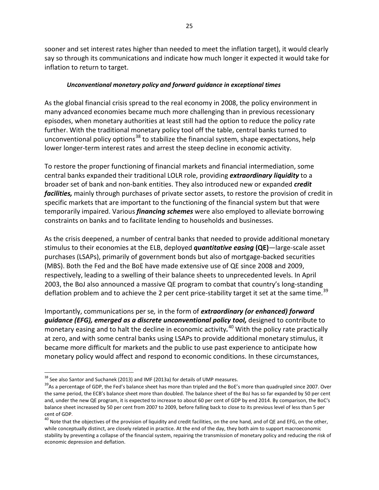sooner and set interest rates higher than needed to meet the inflation target), it would clearly say so through its communications and indicate how much longer it expected it would take for inflation to return to target.

## *Unconventional monetary policy and forward guidance in exceptional times*

As the global financial crisis spread to the real economy in 2008, the policy environment in many advanced economies became much more challenging than in previous recessionary episodes, when monetary authorities at least still had the option to reduce the policy rate further. With the traditional monetary policy tool off the table, central banks turned to unconventional policy options<sup>[38](#page-29-0)</sup> to stabilize the financial system, shape expectations, help lower longer-term interest rates and arrest the steep decline in economic activity.

To restore the proper functioning of financial markets and financial intermediation, some central banks expanded their traditional LOLR role, providing *extraordinary liquidity* to a broader set of bank and non-bank entities. They also introduced new or expanded *credit facilities,* mainly through purchases of private sector assets, to restore the provision of credit in specific markets that are important to the functioning of the financial system but that were temporarily impaired. Various *financing schemes* were also employed to alleviate borrowing constraints on banks and to facilitate lending to households and businesses.

As the crisis deepened, a number of central banks that needed to provide additional monetary stimulus to their economies at the ELB, deployed *quantitative easing* **(QE)**—large-scale asset purchases (LSAPs), primarily of government bonds but also of mortgage-backed securities (MBS). Both the Fed and the BoE have made extensive use of QE since 2008 and 2009, respectively, leading to a swelling of their balance sheets to unprecedented levels. In April 2003, the BoJ also announced a massive QE program to combat that country's long-standing deflation problem and to achieve the 2 per cent price-stability target it set at the same time.<sup>[39](#page-29-1)</sup>

Importantly, communications per se*,* in the form of *extraordinary (or enhanced) forward*  guidance (EFG), emerged as a discrete unconventional policy tool, designed to contribute to monetary easing and to halt the decline in economic activity*.* [40](#page-29-2) With the policy rate practically at zero, and with some central banks using LSAPs to provide additional monetary stimulus, it became more difficult for markets and the public to use past experience to anticipate how monetary policy would affect and respond to economic conditions. In these circumstances,

<span id="page-29-1"></span><span id="page-29-0"></span><sup>&</sup>lt;sup>38</sup> See also Santor and Suchanek (2013) and IMF (2013a) for details of UMP measures.<br><sup>39</sup>As a percentage of GDP, the Fed's balance sheet has more than tripled and the BoE's more than quadrupled since 2007. Over the same period, the ECB's balance sheet more than doubled. The balance sheet of the BoJ has so far expanded by 50 per cent and, under the new QE program, it is expected to increase to about 60 per cent of GDP by end 2014. By comparison, the BoC's balance sheet increased by 50 per cent from 2007 to 2009, before falling back to close to its previous level of less than 5 per cent of GDP.<br><sup>40</sup> Note that the objectives of the provision of liquidity and credit facilities, on the one hand, and of QE and EFG, on the other,

<span id="page-29-2"></span>while conceptually distinct, are closely related in practice. At the end of the day, they both aim to support macroeconomic stability by preventing a collapse of the financial system, repairing the transmission of monetary policy and reducing the risk of economic depression and deflation.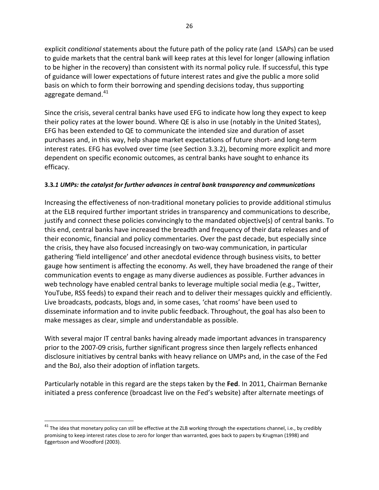explicit *conditional* statements about the future path of the policy rate (and LSAPs) can be used to guide markets that the central bank will keep rates at this level for longer (allowing inflation to be higher in the recovery) than consistent with its normal policy rule. If successful, this type of guidance will lower expectations of future interest rates and give the public a more solid basis on which to form their borrowing and spending decisions today, thus supporting aggregate demand. $41$ 

Since the crisis, several central banks have used EFG to indicate how long they expect to keep their policy rates at the lower bound. Where QE is also in use (notably in the United States), EFG has been extended to QE to communicate the intended size and duration of asset purchases and, in this way, help shape market expectations of future short- and long-term interest rates. EFG has evolved over time (see Section 3.3.2), becoming more explicit and more dependent on specific economic outcomes, as central banks have sought to enhance its efficacy.

## **3.3***.1 UMPs: the catalyst for further advances in central bank transparency and communications*

Increasing the effectiveness of non-traditional monetary policies to provide additional stimulus at the ELB required further important strides in transparency and communications to describe, justify and connect these policies convincingly to the mandated objective(s) of central banks. To this end, central banks have increased the breadth and frequency of their data releases and of their economic, financial and policy commentaries. Over the past decade, but especially since the crisis, they have also focused increasingly on two-way communication, in particular gathering 'field intelligence' and other anecdotal evidence through business visits, to better gauge how sentiment is affecting the economy. As well, they have broadened the range of their communication events to engage as many diverse audiences as possible. Further advances in web technology have enabled central banks to leverage multiple social media (e.g., Twitter, YouTube, RSS feeds) to expand their reach and to deliver their messages quickly and efficiently. Live broadcasts, podcasts, blogs and, in some cases, 'chat rooms' have been used to disseminate information and to invite public feedback. Throughout, the goal has also been to make messages as clear, simple and understandable as possible.

With several major IT central banks having already made important advances in transparency prior to the 2007-09 crisis, further significant progress since then largely reflects enhanced disclosure initiatives by central banks with heavy reliance on UMPs and, in the case of the Fed and the BoJ, also their adoption of inflation targets.

Particularly notable in this regard are the steps taken by the **Fed**. In 2011, Chairman Bernanke initiated a press conference (broadcast live on the Fed's website) after alternate meetings of

<span id="page-30-0"></span> $41$  The idea that monetary policy can still be effective at the ZLB working through the expectations channel, i.e., by credibly promising to keep interest rates close to zero for longer than warranted, goes back to papers by Krugman (1998) and Eggertsson and Woodford (2003).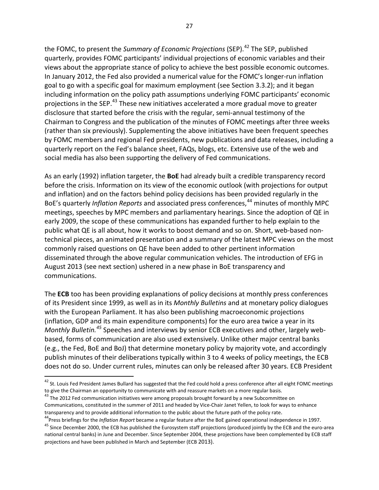the FOMC, to present the *Summary of Economic Projections* (SEP).<sup>[42](#page-31-0)</sup> The SEP, published quarterly, provides FOMC participants' individual projections of economic variables and their views about the appropriate stance of policy to achieve the best possible economic outcomes. In January 2012, the Fed also provided a numerical value for the FOMC's longer-run inflation goal to go with a specific goal for maximum employment (see Section 3.3.2); and it began including information on the policy path assumptions underlying FOMC participants' economic projections in the SEP.<sup>[43](#page-31-1)</sup> These new initiatives accelerated a more gradual move to greater disclosure that started before the crisis with the regular, semi-annual testimony of the Chairman to Congress and the publication of the minutes of FOMC meetings after three weeks (rather than six previously). Supplementing the above initiatives have been frequent speeches by FOMC members and regional Fed presidents, new publications and data releases, including a quarterly report on the Fed's balance sheet, FAQs, blogs, etc. Extensive use of the web and social media has also been supporting the delivery of Fed communications.

As an early (1992) inflation targeter, the **BoE** had already built a credible transparency record before the crisis. Information on its view of the economic outlook (with projections for output and inflation) and on the factors behind policy decisions has been provided regularly in the BoE's quarterly *Inflation Reports* and associated press conferences,<sup>[44](#page-31-2)</sup> minutes of monthly MPC meetings, speeches by MPC members and parliamentary hearings. Since the adoption of QE in early 2009, the scope of these communications has expanded further to help explain to the public what QE is all about, how it works to boost demand and so on. Short, web-based nontechnical pieces, an animated presentation and a summary of the latest MPC views on the most commonly raised questions on QE have been added to other pertinent information disseminated through the above regular communication vehicles. The introduction of EFG in August 2013 (see next section) ushered in a new phase in BoE transparency and communications.

The **ECB** too has been providing explanations of policy decisions at monthly press conferences of its President since 1999, as well as in its *Monthly Bulletins* and at monetary policy dialogues with the European Parliament. It has also been publishing macroeconomic projections (inflation, GDP and its main expenditure components) for the euro area twice a year in its *Monthly Bulletin. [45](#page-31-3)* Speeches and interviews by senior ECB executives and other, largely webbased, forms of communication are also used extensively. Unlike other major central banks (e.g., the Fed, BoE and BoJ) that determine monetary policy by majority vote, and accordingly publish minutes of their deliberations typically within 3 to 4 weeks of policy meetings, the ECB does not do so. Under current rules, minutes can only be released after 30 years. ECB President

<span id="page-31-0"></span> $42$  St. Louis Fed President James Bullard has suggested that the Fed could hold a press conference after all eight FOMC meetings to give the Chairman an opportunity to communicate with and reassure markets on a more regular basis.<br><sup>43</sup> The 2012 Fed communication initiatives were among proposals brought forward by a new Subcommittee on

<span id="page-31-1"></span>Communications, constituted in the summer of 2011 and headed by Vice-Chair Janet Yellen, to look for ways to enhance

<span id="page-31-3"></span><span id="page-31-2"></span>

transparency and to provide additional information to the public about the future path of the policy rate.<br><sup>44</sup> Press briefings for the *Inflation Report* became a regular feature after the BoE gained operational independe national central banks) in June and December. Since September 2004, these projections have been complemented by ECB staff projections and have been published in March and September (ECB 2013).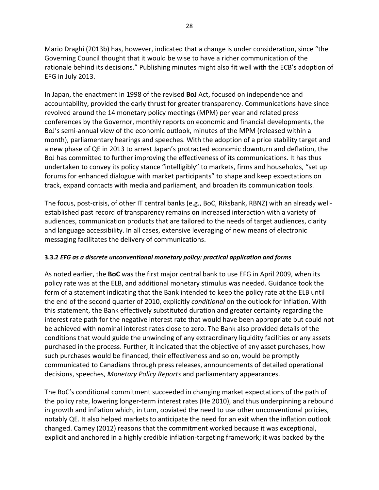Mario Draghi (2013b) has, however, indicated that a change is under consideration, since "the Governing Council thought that it would be wise to have a richer communication of the rationale behind its decisions." Publishing minutes might also fit well with the ECB's adoption of EFG in July 2013.

In Japan, the enactment in 1998 of the revised **BoJ** Act, focused on independence and accountability, provided the early thrust for greater transparency. Communications have since revolved around the 14 monetary policy meetings (MPM) per year and related press conferences by the Governor, monthly reports on economic and financial developments, the BoJ's semi-annual view of the economic outlook, minutes of the MPM (released within a month), parliamentary hearings and speeches. With the adoption of a price stability target and a new phase of QE in 2013 to arrest Japan's protracted economic downturn and deflation, the BoJ has committed to further improving the effectiveness of its communications. It has thus undertaken to convey its policy stance "intelligibly" to markets, firms and households, "set up forums for enhanced dialogue with market participants" to shape and keep expectations on track, expand contacts with media and parliament, and broaden its communication tools.

The focus, post-crisis, of other IT central banks (e.g., BoC, Riksbank, RBNZ) with an already wellestablished past record of transparency remains on increased interaction with a variety of audiences, communication products that are tailored to the needs of target audiences, clarity and language accessibility. In all cases, extensive leveraging of new means of electronic messaging facilitates the delivery of communications.

## **3.3.2** *EFG as a discrete unconventional monetary policy: practical application and forms*

As noted earlier, the **BoC** was the first major central bank to use EFG in April 2009, when its policy rate was at the ELB, and additional monetary stimulus was needed. Guidance took the form of a statement indicating that the Bank intended to keep the policy rate at the ELB until the end of the second quarter of 2010, explicitly *conditional* on the outlook for inflation. With this statement, the Bank effectively substituted duration and greater certainty regarding the interest rate path for the negative interest rate that would have been appropriate but could not be achieved with nominal interest rates close to zero. The Bank also provided details of the conditions that would guide the unwinding of any extraordinary liquidity facilities or any assets purchased in the process. Further, it indicated that the objective of any asset purchases, how such purchases would be financed, their effectiveness and so on, would be promptly communicated to Canadians through press releases, announcements of detailed operational decisions, speeches, *Monetary Policy Reports* and parliamentary appearances.

The BoC's conditional commitment succeeded in changing market expectations of the path of the policy rate, lowering longer-term interest rates (He 2010), and thus underpinning a rebound in growth and inflation which, in turn, obviated the need to use other unconventional policies, notably QE. It also helped markets to anticipate the need for an exit when the inflation outlook changed. Carney (2012) reasons that the commitment worked because it was exceptional, explicit and anchored in a highly credible inflation-targeting framework; it was backed by the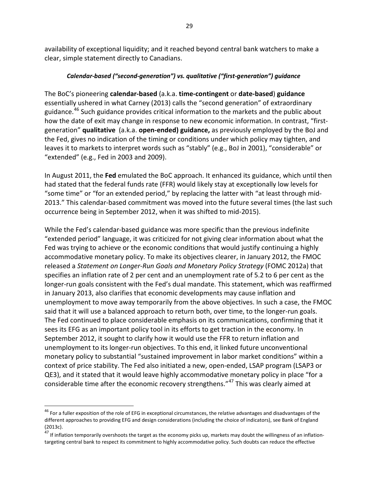availability of exceptional liquidity; and it reached beyond central bank watchers to make a clear, simple statement directly to Canadians.

## *Calendar-based ("second-generation") vs. qualitative ("first-generation") guidance*

The BoC's pioneering **calendar-based** (a.k.a. **time-contingent** or **date-based**) **guidance** essentially ushered in what Carney (2013) calls the "second generation" of extraordinary guidance. [46](#page-33-0) Such guidance provides critical information to the markets and the public about how the date of exit may change in response to new economic information. In contrast, "firstgeneration" **qualitative** (a.k.a. **open-ended) guidance,** as previously employed by the BoJ and the Fed, gives no indication of the timing or conditions under which policy may tighten, and leaves it to markets to interpret words such as "stably" (e.g., BoJ in 2001), "considerable" or "extended" (e.g., Fed in 2003 and 2009).

In August 2011, the **Fed** emulated the BoC approach. It enhanced its guidance, which until then had stated that the federal funds rate (FFR) would likely stay at exceptionally low levels for "some time" or "for an extended period," by replacing the latter with "at least through mid-2013." This calendar-based commitment was moved into the future several times (the last such occurrence being in September 2012, when it was shifted to mid-2015).

While the Fed's calendar-based guidance was more specific than the previous indefinite "extended period" language, it was criticized for not giving clear information about what the Fed was trying to achieve or the economic conditions that would justify continuing a highly accommodative monetary policy. To make its objectives clearer, in January 2012, the FMOC released a *Statement on Longer-Run Goals and Monetary Policy Strategy* (FOMC 2012a) that specifies an inflation rate of 2 per cent and an unemployment rate of 5.2 to 6 per cent as the longer-run goals consistent with the Fed's dual mandate. This statement, which was reaffirmed in January 2013, also clarifies that economic developments may cause inflation and unemployment to move away temporarily from the above objectives. In such a case, the FMOC said that it will use a balanced approach to return both, over time, to the longer-run goals. The Fed continued to place considerable emphasis on its communications, confirming that it sees its EFG as an important policy tool in its efforts to get traction in the economy. In September 2012, it sought to clarify how it would use the FFR to return inflation and unemployment to its longer-run objectives. To this end, it linked future unconventional monetary policy to substantial "sustained improvement in labor market conditions" within a context of price stability. The Fed also initiated a new, open-ended, LSAP program (LSAP3 or QE3), and it stated that it would leave highly accommodative monetary policy in place "for a considerable time after the economic recovery strengthens."<sup>[47](#page-33-1)</sup> This was clearly aimed at

<span id="page-33-0"></span> $^{46}$  For a fuller exposition of the role of EFG in exceptional circumstances, the relative advantages and disadvantages of the different approaches to providing EFG and design considerations (including the choice of indicators), see Bank of England (2013c).

<span id="page-33-1"></span><sup>&</sup>lt;sup>47</sup> If inflation temporarily overshoots the target as the economy picks up, markets may doubt the willingness of an inflationtargeting central bank to respect its commitment to highly accommodative policy. Such doubts can reduce the effective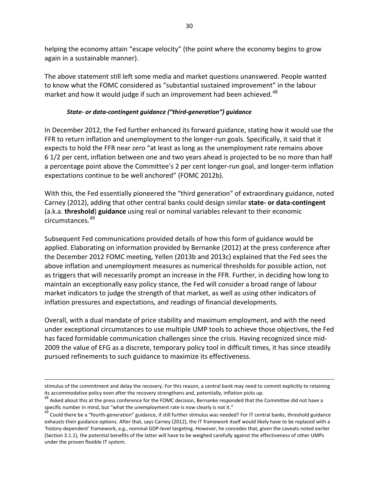helping the economy attain "escape velocity" (the point where the economy begins to grow again in a sustainable manner).

The above statement still left some media and market questions unanswered. People wanted to know what the FOMC considered as "substantial sustained improvement" in the labour market and how it would judge if such an improvement had been achieved.<sup>[48](#page-34-0)</sup>

## *State- or data-contingent guidance ("third-generation") guidance*

In December 2012, the Fed further enhanced its forward guidance, stating how it would use the FFR to return inflation and unemployment to the longer-run goals. Specifically, it said that it expects to hold the FFR near zero "at least as long as the unemployment rate remains above 6 1/2 per cent, inflation between one and two years ahead is projected to be no more than half a percentage point above the Committee's 2 per cent longer-run goal, and longer-term inflation expectations continue to be well anchored" (FOMC 2012b).

With this, the Fed essentially pioneered the "third generation" of extraordinary guidance, noted Carney (2012), adding that other central banks could design similar **state- or data-contingent**  (a.k.a. **threshold**) **guidance** using real or nominal variables relevant to their economic circumstances.[49](#page-34-1)

Subsequent Fed communications provided details of how this form of guidance would be applied. Elaborating on information provided by Bernanke (2012) at the press conference after the December 2012 FOMC meeting, Yellen (2013b and 2013c) explained that the Fed sees the above inflation and unemployment measures as numerical thresholds for possible action, not as triggers that will necessarily prompt an increase in the FFR. Further, in deciding how long to maintain an exceptionally easy policy stance, the Fed will consider a broad range of labour market indicators to judge the strength of that market, as well as using other indicators of inflation pressures and expectations, and readings of financial developments.

Overall, with a dual mandate of price stability and maximum employment, and with the need under exceptional circumstances to use multiple UMP tools to achieve those objectives, the Fed has faced formidable communication challenges since the crisis. Having recognized since mid-2009 the value of EFG as a discrete, temporary policy tool in difficult times, it has since steadily pursued refinements to such guidance to maximize its effectiveness.

 $\overline{\phantom{a}}$ 

stimulus of the commitment and delay the recovery. For this reason, a central bank may need to commit explicitly to retaining

<span id="page-34-0"></span>its accommodative policy even after the recovery strengthens and, potentially, inflation picks up.<br><sup>48</sup> Asked about this at the press conference for the FOMC decision, Bernanke responded that the Committee did not have a specific number in mind, but "what the unemployment rate is now clearly is not it."<br><sup>49</sup> Could there be a "fourth-generation" guidance, if still further stimulus was needed? For IT central banks, threshold guidance

<span id="page-34-1"></span>exhausts their guidance options. After that, says Carney (2012), the IT framework itself would likely have to be replaced with a 'history-dependent' framework, e.g., nominal GDP-level targeting. However, he concedes that, given the caveats noted earlier (Section 3.1.1), the potential benefits of the latter will have to be weighed carefully against the effectiveness of other UMPs under the proven flexible IT system.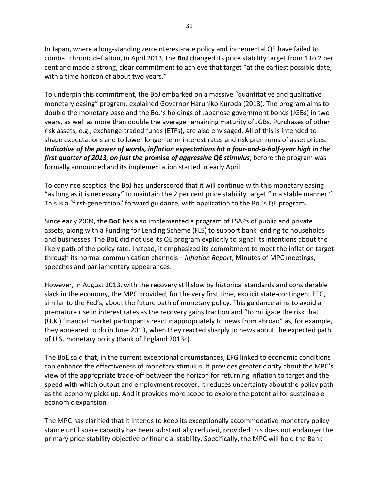In Japan, where a long-standing zero-interest-rate policy and incremental QE have failed to combat chronic deflation, in April 2013, the **BoJ** changed its price stability target from 1 to 2 per cent and made a strong, clear commitment to achieve that target "at the earliest possible date, with a time horizon of about two years."

To underpin this commitment, the BoJ embarked on a massive "quantitative and qualitative monetary easing" program, explained Governor Haruhiko Kuroda (2013). The program aims to double the monetary base and the BoJ's holdings of Japanese government bonds (JGBs) in two years, as well as more than double the average remaining maturity of JGBs. Purchases of other risk assets, e.g., exchange-traded funds (ETFs), are also envisaged. All of this is intended to shape expectations and to lower longer-term interest rates and risk premiums of asset prices. *Indicative of the power of words, inflation expectations hit a four-and-a-half-year high in the first quarter of 2013, on just the* **promise** *of aggressive QE stimulus*, before the program was formally announced and its implementation started in early April.

To convince sceptics, the BoJ has underscored that it will continue with this monetary easing "as long as it is necessary*"* to maintain the 2 per cent price stability target "in a stable manner." This is a "first-generation" forward guidance, with application to the BoJ's QE program.

Since early 2009, the **BoE** has also implemented a program of LSAPs of public and private assets, along with a Funding for Lending Scheme (FLS) to support bank lending to households and businesses. The BoE did not use its QE program explicitly to signal its intentions about the likely path of the policy rate. Instead, it emphasized its commitment to meet the inflation target through its normal communication channels—*Inflation Report*, Minutes of MPC meetings, speeches and parliamentary appearances.

However, in August 2013, with the recovery still slow by historical standards and considerable slack in the economy, the MPC provided, for the very first time, explicit state-contingent EFG*,* similar to the Fed's*,* about the future path of monetary policy. This guidance aims to avoid a premature rise in interest rates as the recovery gains traction and "to mitigate the risk that (U.K.) financial market participants react inappropriately to news from abroad" as, for example, they appeared to do in June 2013, when they reacted sharply to news about the expected path of U.S. monetary policy (Bank of England 2013c).

The BoE said that, in the current exceptional circumstances, EFG linked to economic conditions can enhance the effectiveness of monetary stimulus. It provides greater clarity about the MPC's view of the appropriate trade-off between the horizon for returning inflation to target and the speed with which output and employment recover. It reduces uncertainty about the policy path as the economy picks up. And it provides more scope to explore the potential for sustainable economic expansion.

The MPC has clarified that it intends to keep its exceptionally accommodative monetary policy stance until spare capacity has been substantially reduced, provided this does not endanger the primary price stability objective or financial stability. Specifically, the MPC will hold the Bank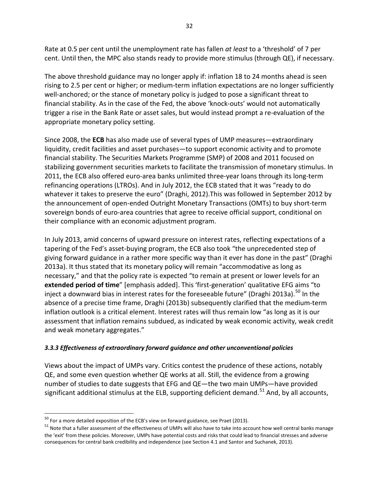Rate at 0.5 per cent until the unemployment rate has fallen *at least* to a 'threshold' of 7 per cent. Until then, the MPC also stands ready to provide more stimulus (through QE), if necessary.

The above threshold guidance may no longer apply if: inflation 18 to 24 months ahead is seen rising to 2.5 per cent or higher; or medium-term inflation expectations are no longer sufficiently well-anchored; or the stance of monetary policy is judged to pose a significant threat to financial stability. As in the case of the Fed, the above 'knock-outs' would not automatically trigger a rise in the Bank Rate or asset sales, but would instead prompt a re-evaluation of the appropriate monetary policy setting.

Since 2008, the **ECB** has also made use of several types of UMP measures—extraordinary liquidity, credit facilities and asset purchases—to support economic activity and to promote financial stability. The Securities Markets Programme (SMP) of 2008 and 2011 focused on stabilizing government securities markets to facilitate the transmission of monetary stimulus. In 2011, the ECB also offered euro-area banks unlimited three-year loans through its long-term refinancing operations (LTROs). And in July 2012, the ECB stated that it was "ready to do whatever it takes to preserve the euro" (Draghi, 2012).This was followed in September 2012 by the announcement of open-ended Outright Monetary Transactions (OMTs) to buy short-term sovereign bonds of euro-area countries that agree to receive official support, conditional on their compliance with an economic adjustment program.

In July 2013, amid concerns of upward pressure on interest rates, reflecting expectations of a tapering of the Fed's asset-buying program, the ECB also took "the unprecedented step of giving forward guidance in a rather more specific way than it ever has done in the past" (Draghi 2013a). It thus stated that its monetary policy will remain "accommodative as long as necessary," and that the policy rate is expected "to remain at present or lower levels for an **extended period of time**" [emphasis added]. This 'first-generation' qualitative EFG aims "to inject a downward bias in interest rates for the foreseeable future" (Draghi 2013a).<sup>[50](#page-36-0)</sup> In the absence of a precise time frame, Draghi (2013b) subsequently clarified that the medium-term inflation outlook is a critical element. Interest rates will thus remain low "as long as it is our assessment that inflation remains subdued, as indicated by weak economic activity, weak credit and weak monetary aggregates."

## *3.3.3 Effectiveness of extraordinary forward guidance and other unconventional policies*

Views about the impact of UMPs vary. Critics contest the prudence of these actions, notably QE, and some even question whether QE works at all. Still, the evidence from a growing number of studies to date suggests that EFG and QE—the two main UMPs—have provided significant additional stimulus at the ELB, supporting deficient demand.<sup>[51](#page-36-1)</sup> And, by all accounts,

<span id="page-36-0"></span> $50$  For a more detailed exposition of the ECB's view on forward guidance, see Praet (2013).

<span id="page-36-1"></span> $51$  Note that a fuller assessment of the effectiveness of UMPs will also have to take into account how well central banks manage the 'exit' from these policies. Moreover, UMPs have potential costs and risks that could lead to financial stresses and adverse consequences for central bank credibility and independence (see Section 4.1 and Santor and Suchanek, 2013).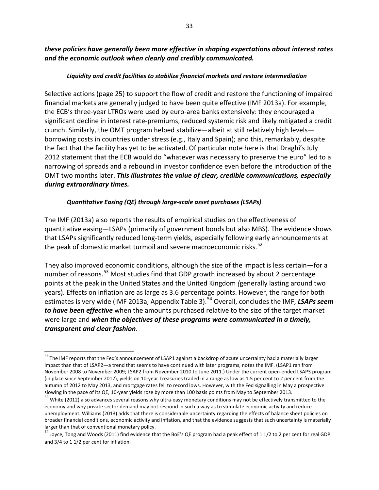*these policies have generally been more effective in shaping expectations about interest rates and the economic outlook when clearly and credibly communicated.*

## *Liquidity and credit facilities to stabilize financial markets and restore intermediation*

Selective actions (page 25) to support the flow of credit and restore the functioning of impaired financial markets are generally judged to have been quite effective (IMF 2013a). For example, the ECB's three-year LTROs were used by euro-area banks extensively: they encouraged a significant decline in interest rate-premiums, reduced systemic risk and likely mitigated a credit crunch. Similarly, the OMT program helped stabilize—albeit at still relatively high levels borrowing costs in countries under stress (e.g., Italy and Spain); and this, remarkably, despite the fact that the facility has yet to be activated. Of particular note here is that Draghi's July 2012 statement that the ECB would do "whatever was necessary to preserve the euro" led to a narrowing of spreads and a rebound in investor confidence even before the introduction of the OMT two months later. *This illustrates the value of clear, credible communications, especially during extraordinary times.*

## *Quantitative Easing (QE) through large-scale asset purchases (LSAPs)*

The IMF (2013a) also reports the results of empirical studies on the effectiveness of quantitative easing—LSAPs (primarily of government bonds but also MBS). The evidence shows that LSAPs significantly reduced long-term yields, especially following early announcements at the peak of domestic market turmoil and severe macroeconomic risks.<sup>[52](#page-37-0)</sup>

They also improved economic conditions, although the size of the impact is less certain—for a number of reasons.<sup>[53](#page-37-1)</sup> Most studies find that GDP growth increased by about 2 percentage points at the peak in the United States and the United Kingdom *(*generally lasting around two years). Effects on inflation are as large as 3.6 percentage points. However, the range for both estimates is very wide (IMF 2013a, Appendix Table 3).<sup>[54](#page-37-2)</sup> Overall, concludes the IMF, **LSAPs seem** *to have been effective* when the amounts purchased relative to the size of the target market were large and *when the objectives of these programs were communicated in a timely, transparent and clear fashion*.

<span id="page-37-0"></span><sup>&</sup>lt;sup>52</sup> The IMF reports that the Fed's announcement of LSAP1 against a backdrop of acute uncertainty had a materially larger impact than that of LSAP2—a trend that seems to have continued with later programs, notes the IMF. (LSAP1 ran from November 2008 to November 2009; LSAP2 from November 2010 to June 2011.) Under the current open-ended LSAP3 program (in place since September 2012), yields on 10-year Treasuries traded in a range as low as 1.5 per cent to 2 per cent from the autumn of 2012 to May 2013, and mortgage rates fell to record lows. However, with the Fed signalling in May a prospective slowing in the pace of its QE, 10-year yields rose by more than 100 basis points from May to September 2013.<br><sup>53</sup> White (2012) also advances several reasons why ultra-easy monetary conditions may not be effectively transmi

<span id="page-37-1"></span>economy and why private sector demand may not respond in such a way as to stimulate economic activity and reduce unemployment. Williams (2013) adds that there is considerable uncertainty regarding the effects of balance sheet policies on broader financial conditions, economic activity and inflation, and that the evidence suggests that such uncertainty is materially larger than that of conventional monetary policy.

<span id="page-37-2"></span><sup>&</sup>lt;sup>54</sup> Joyce, Tong and Woods (2011) find evidence that the BoE's QE program had a peak effect of 1 1/2 to 2 per cent for real GDP and 3/4 to 1 1/2 per cent for inflation.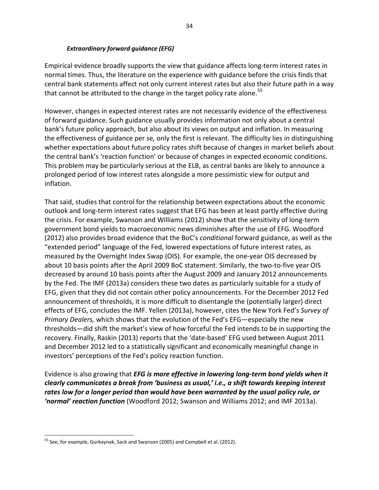### *Extraordinary forward guidance (EFG)*

Empirical evidence broadly supports the view that guidance affects long-term interest rates in normal times. Thus, the literature on the experience with guidance before the crisis finds that central bank statements affect not only current interest rates but also their future path in a way that cannot be attributed to the change in the target policy rate alone.<sup>[55](#page-38-0)</sup>

However, changes in expected interest rates are not necessarily evidence of the effectiveness of forward guidance. Such guidance usually provides information not only about a central bank's future policy approach, but also about its views on output and inflation. In measuring the effectiveness of guidance per se*,* only the first is relevant. The difficulty lies in distinguishing whether expectations about future policy rates shift because of changes in market beliefs about the central bank's 'reaction function' or because of changes in expected economic conditions. This problem may be particularly serious at the ELB, as central banks are likely to announce a prolonged period of low interest rates alongside a more pessimistic view for output and inflation.

That said, studies that control for the relationship between expectations about the economic outlook and long-term interest rates suggest that EFG has been at least partly effective during the crisis. For example, Swanson and Williams (2012) show that the sensitivity of long-term government bond yields to macroeconomic news diminishes after the use of EFG. Woodford (2012) also provides broad evidence that the BoC's *conditional* forward guidance, as well as the "extended period" language of the Fed, lowered expectations of future interest rates, as measured by the Overnight Index Swap (OIS). For example, the one-year OIS decreased by about 10 basis points after the April 2009 BoC statement. Similarly, the two-to-five year OIS decreased by around 10 basis points after the August 2009 and January 2012 announcements by the Fed. The IMF (2013a) considers these two dates as particularly suitable for a study of EFG, given that they did not contain other policy announcements. For the December 2012 Fed announcement of thresholds, it is more difficult to disentangle the (potentially larger) direct effects of EFG, concludes the IMF. Yellen (2013a), however, cites the New York Fed's *Survey of Primary Dealers,* which shows that the evolution of the Fed's EFG—especially the new thresholds—did shift the market's view of how forceful the Fed intends to be in supporting the recovery. Finally, Raskin (2013) reports that the 'date-based' EFG used between August 2011 and December 2012 led to a statistically significant and economically meaningful change in investors' perceptions of the Fed's policy reaction function.

Evidence is also growing that *EFG is more effective in lowering long-term bond yields when it clearly communicates a break from 'business as usual,' i.e., a shift towards keeping interest rates low for a longer period than would have been warranted by the usual policy rule, or 'normal' reaction function* (Woodford 2012; Swanson and Williams 2012; and IMF 2013a).

<span id="page-38-0"></span><sup>&</sup>lt;sup>55</sup> See, for example, Gurkaynak, Sack and Swanson (2005) and Campbell et al. (2012).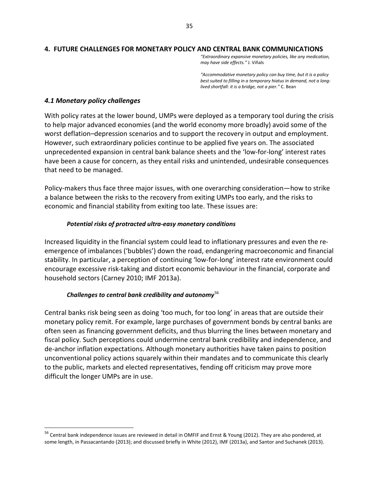#### **4. FUTURE CHALLENGES FOR MONETARY POLICY AND CENTRAL BANK COMMUNICATIONS**

*"Extraordinary expansive monetary policies, like any medication, may have side effects."* J. Viñals

*"Accommodative monetary policy can buy time, but it is a policy best suited to filling in a temporary hiatus in demand, not a longlived shortfall: it is a bridge, not a pier."* C. Bean

#### *4.1 Monetary policy challenges*

With policy rates at the lower bound, UMPs were deployed as a temporary tool during the crisis to help major advanced economies (and the world economy more broadly) avoid some of the worst deflation–depression scenarios and to support the recovery in output and employment. However, such extraordinary policies continue to be applied five years on. The associated unprecedented expansion in central bank balance sheets and the 'low-for-long' interest rates have been a cause for concern, as they entail risks and unintended, undesirable consequences that need to be managed.

Policy-makers thus face three major issues, with one overarching consideration—how to strike a balance between the risks to the recovery from exiting UMPs too early, and the risks to economic and financial stability from exiting too late. These issues are:

#### *Potential risks of protracted ultra-easy monetary conditions*

Increased liquidity in the financial system could lead to inflationary pressures and even the reemergence of imbalances ('bubbles') down the road, endangering macroeconomic and financial stability. In particular, a perception of continuing 'low-for-long' interest rate environment could encourage excessive risk-taking and distort economic behaviour in the financial, corporate and household sectors (Carney 2010; IMF 2013a).

## *Challenges to central bank credibility and autonomy*[56](#page-39-0)

Central banks risk being seen as doing 'too much, for too long' in areas that are outside their monetary policy remit. For example, large purchases of government bonds by central banks are often seen as financing government deficits, and thus blurring the lines between monetary and fiscal policy. Such perceptions could undermine central bank credibility and independence, and de-anchor inflation expectations. Although monetary authorities have taken pains to position unconventional policy actions squarely within their mandates and to communicate this clearly to the public, markets and elected representatives, fending off criticism may prove more difficult the longer UMPs are in use.

<span id="page-39-0"></span> <sup>56</sup> Central bank independence issues are reviewed in detail in OMFIF and Ernst & Young (2012). They are also pondered, at some length, in Passacantando (2013); and discussed briefly in White (2012), IMF (2013a), and Santor and Suchanek (2013).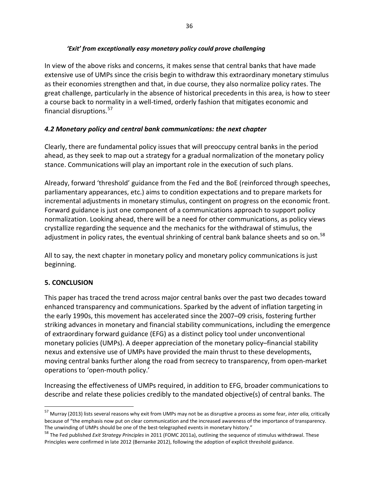In view of the above risks and concerns, it makes sense that central banks that have made extensive use of UMPs since the crisis begin to withdraw this extraordinary monetary stimulus as their economies strengthen and that, in due course, they also normalize policy rates. The great challenge, particularly in the absence of historical precedents in this area, is how to steer a course back to normality in a well-timed, orderly fashion that mitigates economic and financial disruptions.<sup>[57](#page-40-0)</sup>

## *4.2 Monetary policy and central bank communications: the next chapter*

Clearly, there are fundamental policy issues that will preoccupy central banks in the period ahead, as they seek to map out a strategy for a gradual normalization of the monetary policy stance. Communications will play an important role in the execution of such plans.

Already, forward 'threshold' guidance from the Fed and the BoE (reinforced through speeches, parliamentary appearances, etc.) aims to condition expectations and to prepare markets for incremental adjustments in monetary stimulus, contingent on progress on the economic front. Forward guidance is just one component of a communications approach to support policy normalization. Looking ahead, there will be a need for other communications, as policy views crystallize regarding the sequence and the mechanics for the withdrawal of stimulus, the adjustment in policy rates, the eventual shrinking of central bank balance sheets and so on.<sup>[58](#page-40-1)</sup>

All to say, the next chapter in monetary policy and monetary policy communications is just beginning.

## **5. CONCLUSION**

This paper has traced the trend across major central banks over the past two decades toward enhanced transparency and communications. Sparked by the advent of inflation targeting in the early 1990s, this movement has accelerated since the 2007–09 crisis, fostering further striking advances in monetary and financial stability communications, including the emergence of extraordinary forward guidance (EFG) as a distinct policy tool under unconventional monetary policies (UMPs). A deeper appreciation of the monetary policy–financial stability nexus and extensive use of UMPs have provided the main thrust to these developments, moving central banks further along the road from secrecy to transparency, from open-market operations to 'open-mouth policy.'

Increasing the effectiveness of UMPs required, in addition to EFG, broader communications to describe and relate these policies credibly to the mandated objective(s) of central banks. The

<span id="page-40-0"></span> <sup>57</sup> Murray (2013) lists several reasons why exit from UMPs may not be as disruptive a process as some fear, *inter alia,* critically because of "the emphasis now put on clear communication and the increased awareness of the importance of transparency.

<span id="page-40-1"></span>The unwinding of UMPs should be one of the best-telegraphed events in monetary history." <sup>58</sup> The Fed published *Exit Strategy Principles* in 2011 (FOMC 2011a), outlining the sequence of stimulus withdrawal. These Principles were confirmed in late 2012 (Bernanke 2012), following the adoption of explicit threshold guidance.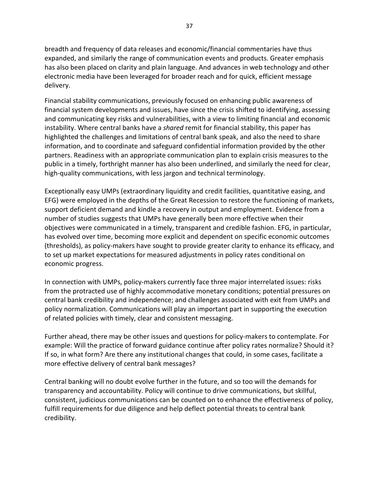breadth and frequency of data releases and economic/financial commentaries have thus expanded, and similarly the range of communication events and products. Greater emphasis has also been placed on clarity and plain language. And advances in web technology and other electronic media have been leveraged for broader reach and for quick, efficient message delivery.

Financial stability communications, previously focused on enhancing public awareness of financial system developments and issues, have since the crisis shifted to identifying, assessing and communicating key risks and vulnerabilities, with a view to limiting financial and economic instability. Where central banks have a *shared* remit for financial stability, this paper has highlighted the challenges and limitations of central bank speak, and also the need to share information, and to coordinate and safeguard confidential information provided by the other partners. Readiness with an appropriate communication plan to explain crisis measures to the public in a timely, forthright manner has also been underlined, and similarly the need for clear, high-quality communications, with less jargon and technical terminology.

Exceptionally easy UMPs (extraordinary liquidity and credit facilities, quantitative easing, and EFG) were employed in the depths of the Great Recession to restore the functioning of markets, support deficient demand and kindle a recovery in output and employment. Evidence from a number of studies suggests that UMPs have generally been more effective when their objectives were communicated in a timely, transparent and credible fashion. EFG, in particular, has evolved over time, becoming more explicit and dependent on specific economic outcomes (thresholds), as policy-makers have sought to provide greater clarity to enhance its efficacy, and to set up market expectations for measured adjustments in policy rates conditional on economic progress.

In connection with UMPs, policy-makers currently face three major interrelated issues: risks from the protracted use of highly accommodative monetary conditions; potential pressures on central bank credibility and independence; and challenges associated with exit from UMPs and policy normalization. Communications will play an important part in supporting the execution of related policies with timely, clear and consistent messaging.

Further ahead, there may be other issues and questions for policy-makers to contemplate. For example: Will the practice of forward guidance continue after policy rates normalize? Should it? If so, in what form? Are there any institutional changes that could, in some cases, facilitate a more effective delivery of central bank messages?

Central banking will no doubt evolve further in the future, and so too will the demands for transparency and accountability. Policy will continue to drive communications, but skillful, consistent, judicious communications can be counted on to enhance the effectiveness of policy, fulfill requirements for due diligence and help deflect potential threats to central bank credibility.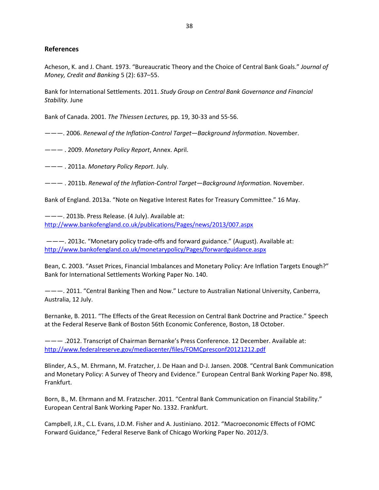#### **References**

Acheson, K. and J. Chant. 1973. "Bureaucratic Theory and the Choice of Central Bank Goals." *Journal of Money, Credit and Banking* 5 (2): 637–55.

Bank for International Settlements. 2011. *Study Group on Central Bank Governance and Financial Stability.* June

Bank of Canada. 2001. *The Thiessen Lectures,* pp. 19, 30-33 and 55-56.

———. 2006. *Renewal of the Inflation-Control Target—Background Information*. November.

——— . 2009. *Monetary Policy Report*, Annex. April.

——— . 2011a. *Monetary Policy Report*. July.

——— . 2011b. *Renewal of the Inflation-Control Target—Background Information*. November.

Bank of England. 2013a. "Note on Negative Interest Rates for Treasury Committee." 16 May.

———. 2013b. Press Release. (4 July). Available at: <http://www.bankofengland.co.uk/publications/Pages/news/2013/007.aspx>

———. 2013c. "Monetary policy trade-offs and forward guidance." (August). Available at: <http://www.bankofengland.co.uk/monetarypolicy/Pages/forwardguidance.aspx>

Bean, C. 2003. "Asset Prices, Financial Imbalances and Monetary Policy: Are Inflation Targets Enough?" Bank for International Settlements Working Paper No. 140.

———. 2011. "Central Banking Then and Now." Lecture to Australian National University, Canberra, Australia, 12 July.

Bernanke, B. 2011. "The Effects of the Great Recession on Central Bank Doctrine and Practice." Speech at the Federal Reserve Bank of Boston 56th Economic Conference, Boston, 18 October.

——— .2012. Transcript of Chairman Bernanke's Press Conference. 12 December. Available at: <http://www.federalreserve.gov/mediacenter/files/FOMCpresconf20121212.pdf>

Blinder, A.S., M. Ehrmann, M. Fratzcher, J. De Haan and D-J. Jansen. 2008. "Central Bank Communication and Monetary Policy: A Survey of Theory and Evidence." European Central Bank Working Paper No. 898, Frankfurt.

Born, B., M. Ehrmann and M. Fratzscher. 2011. "Central Bank Communication on Financial Stability." European Central Bank Working Paper No. 1332. Frankfurt.

Campbell, J.R., C.L. Evans, J.D.M. Fisher and A. Justiniano. 2012. "Macroeconomic Effects of FOMC Forward Guidance," Federal Reserve Bank of Chicago Working Paper No. 2012/3.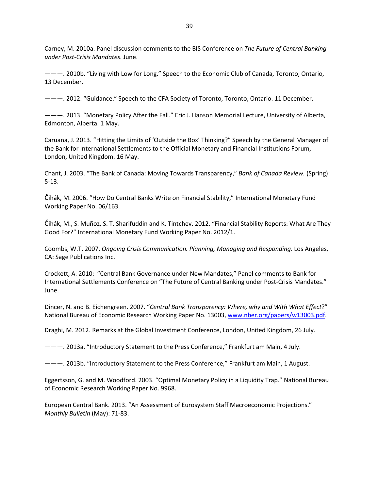Carney, M. 2010a. Panel discussion comments to the BIS Conference on *The Future of Central Banking under Post-Crisis Mandates*. June.

———. 2010b. "Living with Low for Long." Speech to the Economic Club of Canada, Toronto, Ontario, 13 December.

———. 2012. "Guidance." Speech to the CFA Society of Toronto, Toronto, Ontario. 11 December.

———. 2013. "Monetary Policy After the Fall." Eric J. Hanson Memorial Lecture, University of Alberta, Edmonton, Alberta. 1 May.

Caruana, J. 2013. "Hitting the Limits of 'Outside the Box' Thinking?" Speech by the General Manager of the Bank for International Settlements to the Official Monetary and Financial Institutions Forum, London, United Kingdom. 16 May.

Chant, J. 2003. "The Bank of Canada: Moving Towards Transparency," *Bank of Canada Review.* (Spring): 5-13.

Čihák, M. 2006. "How Do Central Banks Write on Financial Stability," International Monetary Fund Working Paper No. 06/163.

Čihák, M., S. Muñoz, S. T. Sharifuddin and K. Tintchev. 2012. "Financial Stability Reports: What Are They Good For?" International Monetary Fund Working Paper No. 2012/1.

Coombs, W.T. 2007. *Ongoing Crisis Communication. Planning, Managing and Responding*. Los Angeles, CA: Sage Publications Inc.

Crockett, A. 2010: "Central Bank Governance under New Mandates," Panel comments to Bank for International Settlements Conference on "The Future of Central Banking under Post-Crisis Mandates." June.

Dincer, N. and B. Eichengreen. 2007. "*Central Bank Transparency: Where, why and With What Effect*?" National Bureau of Economic Research Working Paper No. 13003, [www.nber.org/papers/w13003.pdf.](http://www.nber.org/papers/w13003.pdf)

Draghi, M. 2012. Remarks at the Global Investment Conference, London, United Kingdom, 26 July.

———. 2013a. "Introductory Statement to the Press Conference," Frankfurt am Main, 4 July.

———. 2013b. "Introductory Statement to the Press Conference," Frankfurt am Main, 1 August.

Eggertsson, G. and M. Woodford. 2003. "Optimal Monetary Policy in a Liquidity Trap." National Bureau of Economic Research Working Paper No. 9968.

European Central Bank. 2013. "An Assessment of Eurosystem Staff Macroeconomic Projections." *Monthly Bulletin* (May): 71-83.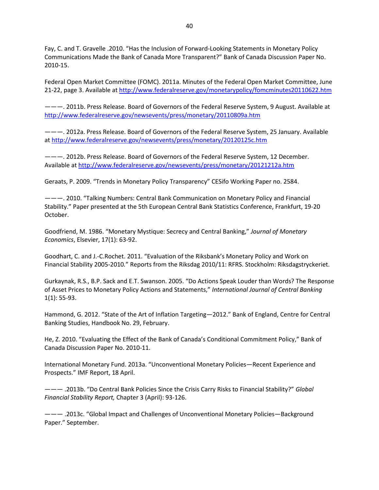Fay, C. and T. Gravelle .2010. "Has the Inclusion of Forward-Looking Statements in Monetary Policy Communications Made the Bank of Canada More Transparent?" Bank of Canada Discussion Paper No. 2010-15.

Federal Open Market Committee (FOMC). 2011a. Minutes of the Federal Open Market Committee, June 21-22, page 3. Available a[t http://www.federalreserve.gov/monetarypolicy/fomcminutes20110622.htm](http://www.federalreserve.gov/monetarypolicy/fomcminutes20110622.htm)

———. 2011b. Press Release. Board of Governors of the Federal Reserve System, 9 August. Available at <http://www.federalreserve.gov/newsevents/press/monetary/20110809a.htm>

———. 2012a. Press Release. Board of Governors of the Federal Reserve System, 25 January. Available at<http://www.federalreserve.gov/newsevents/press/monetary/20120125c.htm>

———. 2012b. Press Release. Board of Governors of the Federal Reserve System, 12 December. Available a[t http://www.federalreserve.gov/newsevents/press/monetary/20121212a.htm](http://www.federalreserve.gov/newsevents/press/monetary/20121212a.htm)

Geraats, P. 2009. "Trends in Monetary Policy Transparency" CESifo Working Paper no. 2584.

———. 2010. "Talking Numbers: Central Bank Communication on Monetary Policy and Financial Stability." Paper presented at the 5th European Central Bank Statistics Conference, Frankfurt, 19-20 October.

Goodfriend, M. 1986. "Monetary Mystique: Secrecy and Central Banking," *Journal of Monetary Economics*, Elsevier, 17(1): 63-92.

Goodhart, C. and J.-C.Rochet. 2011. "Evaluation of the Riksbank's Monetary Policy and Work on Financial Stability 2005-2010*.*" Reports from the Riksdag 2010/11: RFRS. Stockholm: Riksdagstryckeriet.

Gurkaynak, R.S., B.P. Sack and E.T. Swanson. 2005. "Do Actions Speak Louder than Words? The Response of Asset Prices to Monetary Policy Actions and Statements," *International Journal of Central Banking* 1(1): 55-93.

Hammond, G. 2012. "State of the Art of Inflation Targeting—2012." Bank of England, Centre for Central Banking Studies, Handbook No. 29, February.

He, Z. 2010. "Evaluating the Effect of the Bank of Canada's Conditional Commitment Policy," Bank of Canada Discussion Paper No. 2010-11.

International Monetary Fund. 2013a. "Unconventional Monetary Policies—Recent Experience and Prospects." IMF Report, 18 April.

——— .2013b. "Do Central Bank Policies Since the Crisis Carry Risks to Financial Stability?" *Global Financial Stability Report,* Chapter 3 (April): 93-126.

——— .2013c. "Global Impact and Challenges of Unconventional Monetary Policies—Background Paper." September.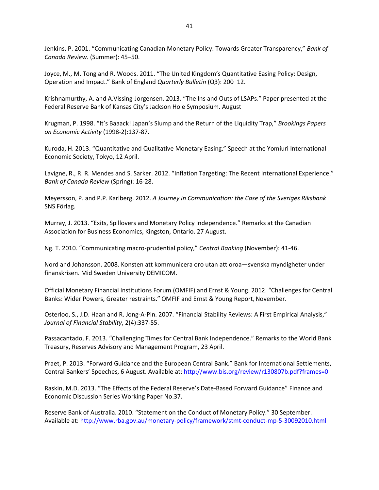Jenkins, P. 2001. "Communicating Canadian Monetary Policy: Towards Greater Transparency," *Bank of Canada Review.* (Summer): 45–50.

Joyce, M., M. Tong and R. Woods. 2011. "The United Kingdom's Quantitative Easing Policy: Design, Operation and Impact." Bank of England *Quarterly Bulletin* (Q3): 200–12.

Krishnamurthy, A. and A.Vissing-Jorgensen. 2013. "The Ins and Outs of LSAPs." Paper presented at the Federal Reserve Bank of Kansas City's Jackson Hole Symposium. August

Krugman, P. 1998. "It's Baaack! Japan's Slump and the Return of the Liquidity Trap," *Brookings Papers on Economic Activity* (1998-2):137-87.

Kuroda, H. 2013. "Quantitative and Qualitative Monetary Easing." Speech at the Yomiuri International Economic Society, Tokyo, 12 April.

Lavigne, R., R. R. Mendes and S. Sarker. 2012. "Inflation Targeting: The Recent International Experience." *Bank of Canada Review* (Spring): 16-28.

Meyersson, P. and P.P. Karlberg. 2012. *A Journey in Communication: the Case of the Sveriges Riksbank* SNS Förlag.

Murray, J. 2013. "Exits, Spillovers and Monetary Policy Independence." Remarks at the Canadian Association for Business Economics, Kingston, Ontario. 27 August.

Ng. T. 2010. "Communicating macro-prudential policy," *Central Banking* (November): 41-46.

Nord and Johansson. 2008. Konsten att kommunicera oro utan att oroa—svenska myndigheter under finanskrisen. Mid Sweden University DEMICOM.

Official Monetary Financial Institutions Forum (OMFIF) and Ernst & Young. 2012. "Challenges for Central Banks: Wider Powers, Greater restraints." OMFIF and Ernst & Young Report, November.

Osterloo, S., J.D. Haan and R. Jong-A-Pin. 2007. "Financial Stability Reviews: A First Empirical Analysis," *Journal of Financial Stability*, 2(4):337-55.

Passacantado, F. 2013. "Challenging Times for Central Bank Independence." Remarks to the World Bank Treasury, Reserves Advisory and Management Program, 23 April.

Praet, P. 2013. "Forward Guidance and the European Central Bank." Bank for International Settlements, Central Bankers' Speeches, 6 August. Available at:<http://www.bis.org/review/r130807b.pdf?frames=0>

Raskin, M.D. 2013. "The Effects of the Federal Reserve's Date-Based Forward Guidance" Finance and Economic Discussion Series Working Paper No.37.

Reserve Bank of Australia. 2010. "Statement on the Conduct of Monetary Policy." 30 September. Available at: <http://www.rba.gov.au/monetary-policy/framework/stmt-conduct-mp-5-30092010.html>